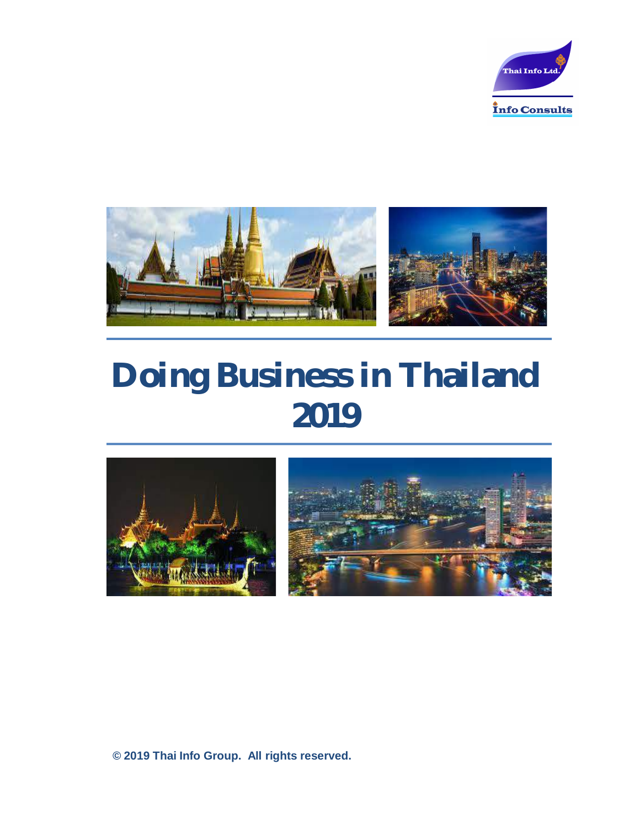



# **Doing Business in Thailand 2019**

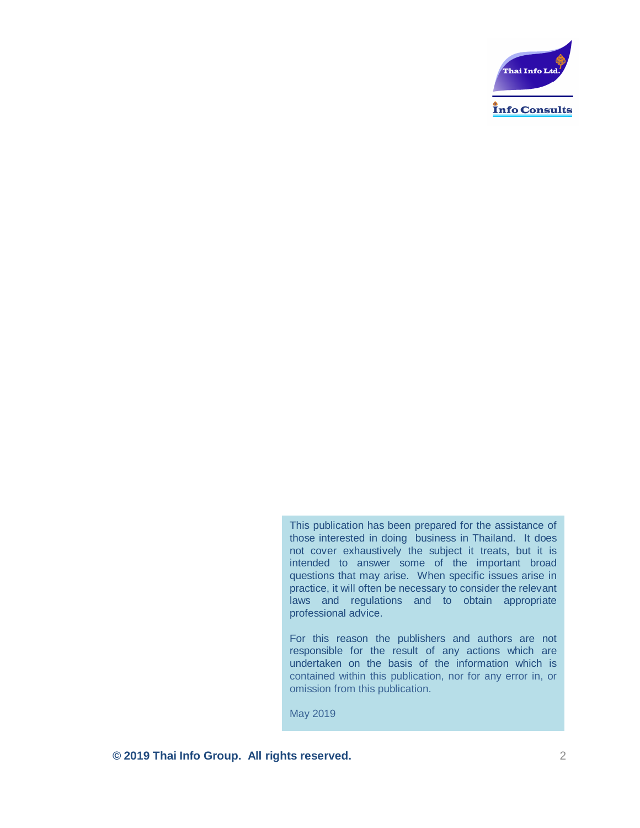

This publication has been prepared for the assistance of those interested in doing business in Thailand. It does not cover exhaustively the subject it treats, but it is intended to answer some of the important broad questions that may arise. When specific issues arise in practice, it will often be necessary to consider the relevant laws and regulations and to obtain appropriate professional advice.

For this reason the publishers and authors are not responsible for the result of any actions which are undertaken on the basis of the information which is contained within this publication, nor for any error in, or omission from this publication.

May 2019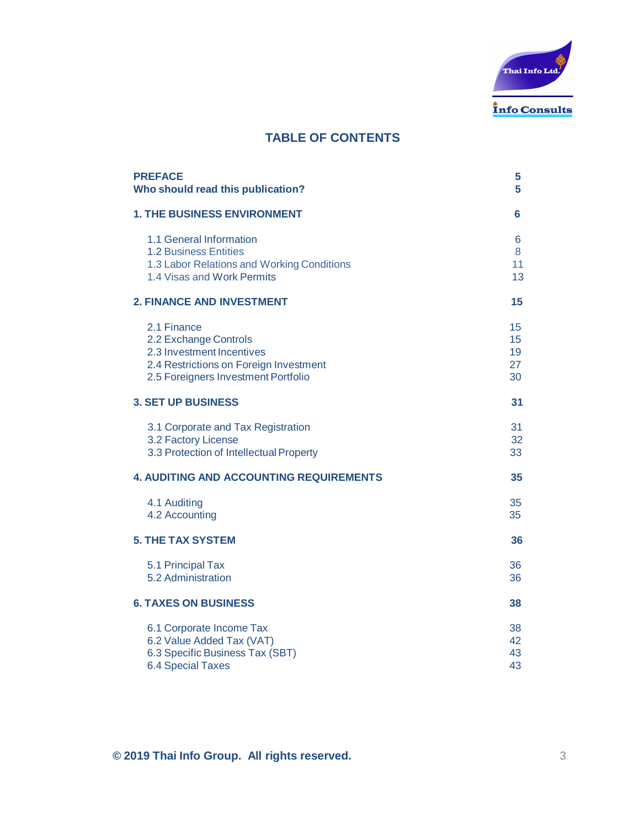

# **TABLE OF CONTENTS**

| <b>PREFACE</b>                                 | 5  |
|------------------------------------------------|----|
| Who should read this publication?              | 5  |
| <b>1. THE BUSINESS ENVIRONMENT</b>             | 6  |
| 1.1 General Information                        | 6  |
| <b>1.2 Business Entities</b>                   | 8  |
| 1.3 Labor Relations and Working Conditions     | 11 |
| 1.4 Visas and Work Permits                     | 13 |
| <b>2. FINANCE AND INVESTMENT</b>               | 15 |
| 2.1 Finance                                    | 15 |
| 2.2 Exchange Controls                          | 15 |
| 2.3 Investment Incentives                      | 19 |
| 2.4 Restrictions on Foreign Investment         | 27 |
| 2.5 Foreigners Investment Portfolio            | 30 |
| <b>3. SET UP BUSINESS</b>                      | 31 |
| 3.1 Corporate and Tax Registration             | 31 |
| 3.2 Factory License                            | 32 |
| 3.3 Protection of Intellectual Property        | 33 |
| <b>4. AUDITING AND ACCOUNTING REQUIREMENTS</b> | 35 |
| 4.1 Auditing                                   | 35 |
| 4.2 Accounting                                 | 35 |
| <b>5. THE TAX SYSTEM</b>                       | 36 |
| 5.1 Principal Tax                              | 36 |
| 5.2 Administration                             | 36 |
| <b>6. TAXES ON BUSINESS</b>                    | 38 |
| 6.1 Corporate Income Tax                       | 38 |
| 6.2 Value Added Tax (VAT)                      | 42 |
| 6.3 Specific Business Tax (SBT)                | 43 |
| <b>6.4 Special Taxes</b>                       | 43 |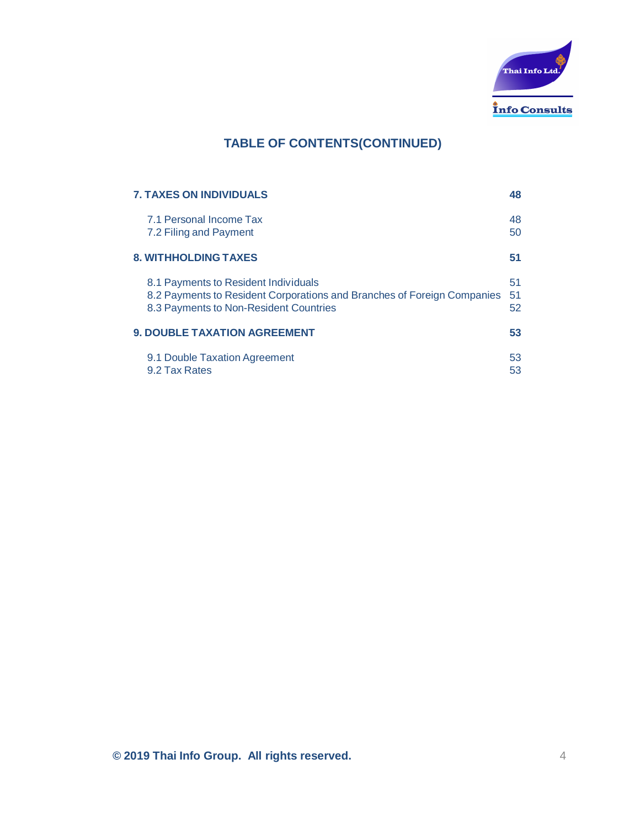

# **TABLE OF CONTENTS(CONTINUED)**

| <b>7. TAXES ON INDIVIDUALS</b>                                                                                                                            | 48             |
|-----------------------------------------------------------------------------------------------------------------------------------------------------------|----------------|
| 7.1 Personal Income Tax<br>7.2 Filing and Payment                                                                                                         | 48<br>50       |
| <b>8. WITHHOLDING TAXES</b>                                                                                                                               | 51             |
| 8.1 Payments to Resident Individuals<br>8.2 Payments to Resident Corporations and Branches of Foreign Companies<br>8.3 Payments to Non-Resident Countries | 51<br>51<br>52 |
| <b>9. DOUBLE TAXATION AGREEMENT</b>                                                                                                                       | 53             |
| 9.1 Double Taxation Agreement<br>9.2 Tax Rates                                                                                                            | 53<br>53       |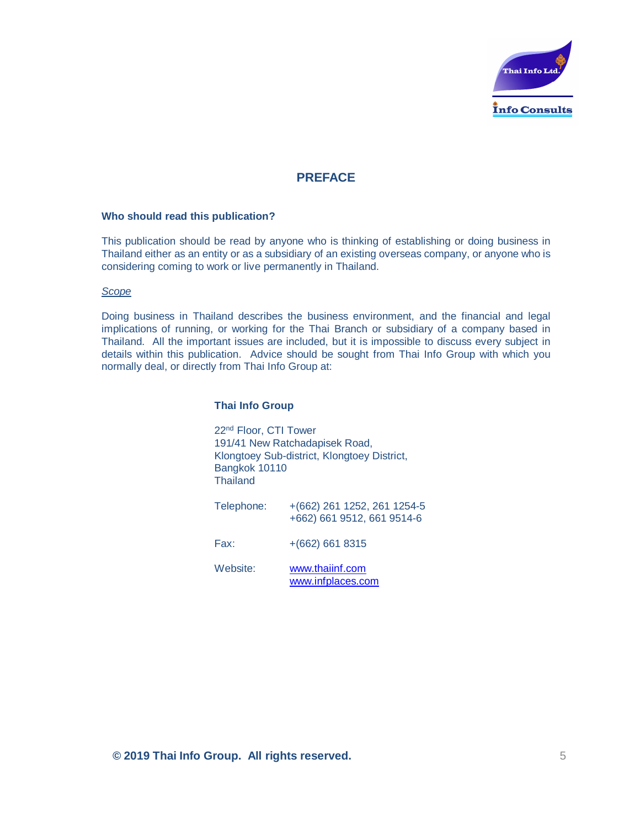

# **PREFACE**

#### **Who should read this publication?**

This publication should be read by anyone who is thinking of establishing or doing business in Thailand either as an entity or as a subsidiary of an existing overseas company, or anyone who is considering coming to work or live permanently in Thailand.

#### *Scope*

Doing business in Thailand describes the business environment, and the financial and legal implications of running, or working for the Thai Branch or subsidiary of a company based in Thailand. All the important issues are included, but it is impossible to discuss every subject in details within this publication. Advice should be sought from Thai Info Group with which you normally deal, or directly from Thai Info Group at:

#### **Thai Info Group**

22nd Floor, CTI Tower 191/41 New Ratchadapisek Road, Klongtoey Sub-district, Klongtoey District, Bangkok 10110 **Thailand** 

Telephone: +(662) 261 1252, 261 1254-5 +662) 661 9512, 661 9514-6

Fax: +(662) 661 8315

Website: www.thaiinf.com www.infplaces.com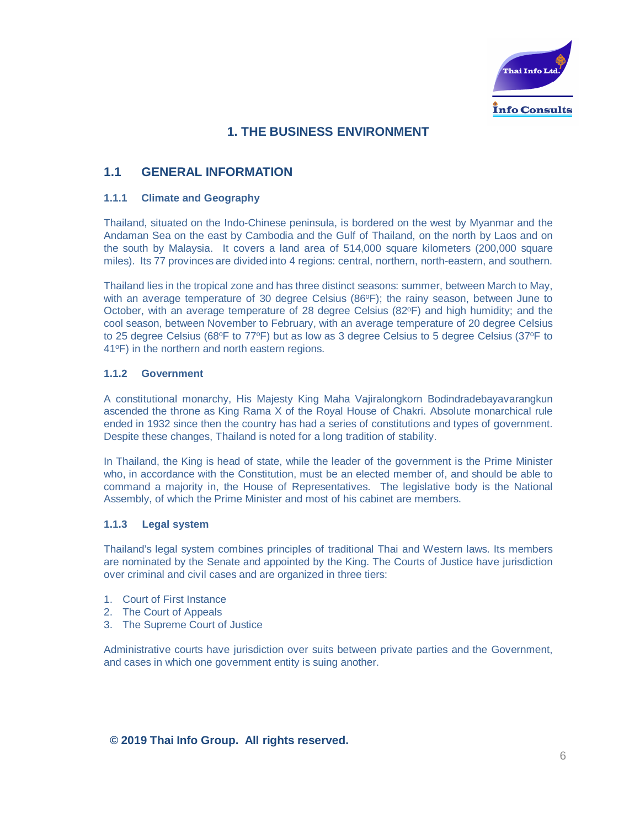

# **1. THE BUSINESS ENVIRONMENT**

# **1.1 GENERAL INFORMATION**

#### **1.1.1 Climate and Geography**

Thailand, situated on the Indo-Chinese peninsula, is bordered on the west by Myanmar and the Andaman Sea on the east by Cambodia and the Gulf of Thailand, on the north by Laos and on the south by Malaysia. It covers a land area of 514,000 square kilometers (200,000 square miles). Its 77 provinces are divided into 4 regions: central, northern, north-eastern, and southern.

Thailand lies in the tropical zone and has three distinct seasons: summer, between March to May, with an average temperature of 30 degree Celsius  $(86^\circ F)$ ; the rainy season, between June to October, with an average temperature of 28 degree Celsius (82°F) and high humidity; and the cool season, between November to February, with an average temperature of 20 degree Celsius to 25 degree Celsius (68°F to 77°F) but as low as 3 degree Celsius to 5 degree Celsius (37°F to 41oF) in the northern and north eastern regions.

#### **1.1.2 Government**

A constitutional monarchy, His Majesty King Maha Vajiralongkorn Bodindradebayavarangkun ascended the throne as King Rama X of the Royal House of Chakri. Absolute monarchical rule ended in 1932 since then the country has had a series of constitutions and types of government. Despite these changes, Thailand is noted for a long tradition of stability.

In Thailand, the King is head of state, while the leader of the government is the Prime Minister who, in accordance with the Constitution, must be an elected member of, and should be able to command a majority in, the House of Representatives. The legislative body is the National Assembly, of which the Prime Minister and most of his cabinet are members.

#### **1.1.3 Legal system**

Thailand's legal system combines principles of traditional Thai and Western laws. Its members are nominated by the Senate and appointed by the King. The Courts of Justice have jurisdiction over criminal and civil cases and are organized in three tiers:

- 1. Court of First Instance
- 2. The Court of Appeals
- 3. The Supreme Court of Justice

Administrative courts have jurisdiction over suits between private parties and the Government, and cases in which one government entity is suing another.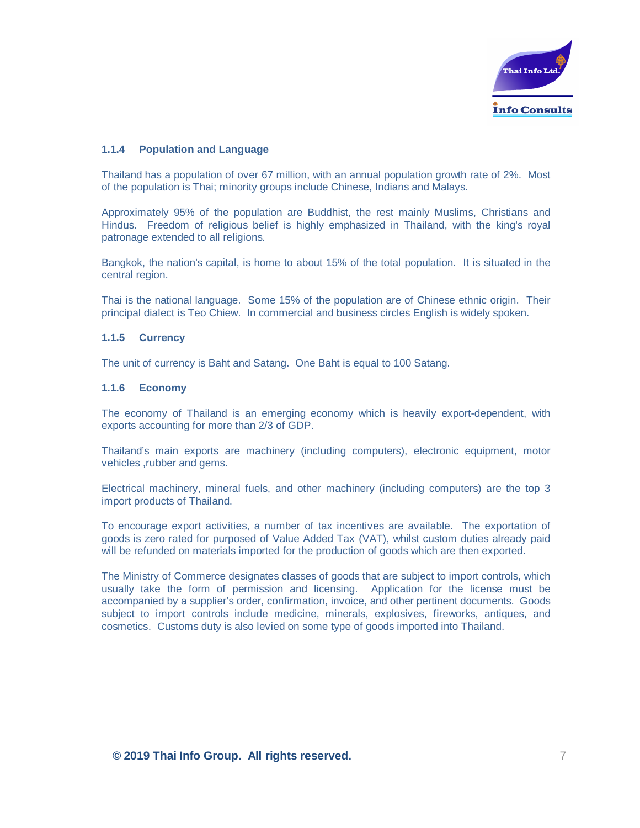

#### **1.1.4 Population and Language**

Thailand has a population of over 67 million, with an annual population growth rate of 2%. Most of the population is Thai; minority groups include Chinese, Indians and Malays.

Approximately 95% of the population are Buddhist, the rest mainly Muslims, Christians and Hindus. Freedom of religious belief is highly emphasized in Thailand, with the king's royal patronage extended to all religions.

Bangkok, the nation's capital, is home to about 15% of the total population. It is situated in the central region.

Thai is the national language. Some 15% of the population are of Chinese ethnic origin. Their principal dialect is Teo Chiew. In commercial and business circles English is widely spoken.

#### **1.1.5 Currency**

The unit of currency is Baht and Satang. One Baht is equal to 100 Satang.

#### **1.1.6 Economy**

The economy of Thailand is an emerging economy which is heavily export-dependent, with exports accounting for more than 2/3 of GDP.

Thailand's main exports are machinery (including computers), electronic equipment, motor vehicles ,rubber and gems.

Electrical machinery, mineral fuels, and other machinery (including computers) are the top 3 import products of Thailand.

To encourage export activities, a number of tax incentives are available. The exportation of goods is zero rated for purposed of Value Added Tax (VAT), whilst custom duties already paid will be refunded on materials imported for the production of goods which are then exported.

The Ministry of Commerce designates classes of goods that are subject to import controls, which usually take the form of permission and licensing. Application for the license must be accompanied by a supplier's order, confirmation, invoice, and other pertinent documents. Goods subject to import controls include medicine, minerals, explosives, fireworks, antiques, and cosmetics. Customs duty is also levied on some type of goods imported into Thailand.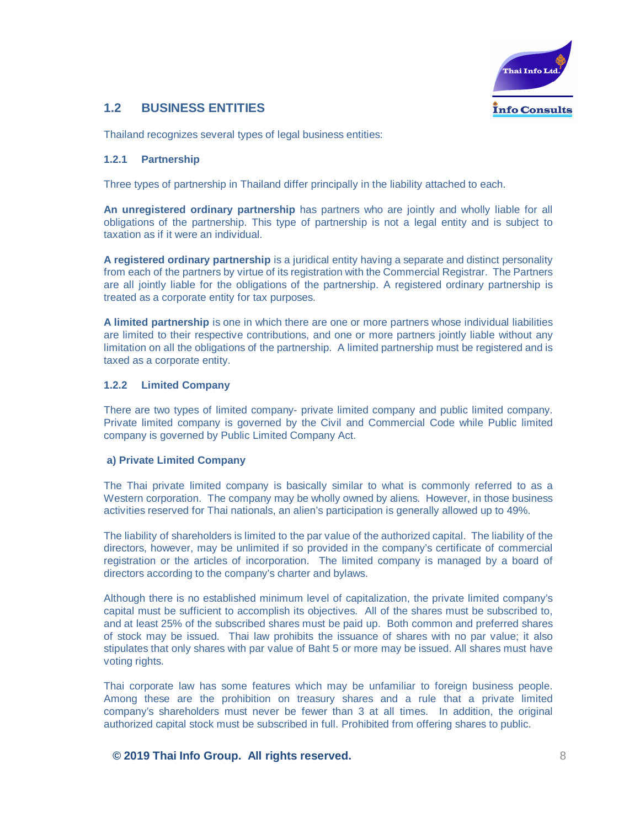

# **1.2 BUSINESS ENTITIES**

Thailand recognizes several types of legal business entities:

#### **1.2.1 Partnership**

Three types of partnership in Thailand differ principally in the liability attached to each.

**An unregistered ordinary partnership** has partners who are jointly and wholly liable for all obligations of the partnership. This type of partnership is not a legal entity and is subject to taxation as if it were an individual.

**A registered ordinary partnership** is a juridical entity having a separate and distinct personality from each of the partners by virtue of its registration with the Commercial Registrar. The Partners are all jointly liable for the obligations of the partnership. A registered ordinary partnership is treated as a corporate entity for tax purposes.

**A limited partnership** is one in which there are one or more partners whose individual liabilities are limited to their respective contributions, and one or more partners jointly liable without any limitation on all the obligations of the partnership. A limited partnership must be registered and is taxed as a corporate entity.

#### **1.2.2 Limited Company**

There are two types of limited company- private limited company and public limited company. Private limited company is governed by the Civil and Commercial Code while Public limited company is governed by Public Limited Company Act.

#### **a) Private Limited Company**

The Thai private limited company is basically similar to what is commonly referred to as a Western corporation. The company may be wholly owned by aliens. However, in those business activities reserved for Thai nationals, an alien's participation is generally allowed up to 49%.

The liability of shareholders is limited to the par value of the authorized capital. The liability of the directors, however, may be unlimited if so provided in the company's certificate of commercial registration or the articles of incorporation. The limited company is managed by a board of directors according to the company's charter and bylaws.

Although there is no established minimum level of capitalization, the private limited company's capital must be sufficient to accomplish its objectives. All of the shares must be subscribed to, and at least 25% of the subscribed shares must be paid up. Both common and preferred shares of stock may be issued. Thai law prohibits the issuance of shares with no par value; it also stipulates that only shares with par value of Baht 5 or more may be issued. All shares must have voting rights.

Thai corporate law has some features which may be unfamiliar to foreign business people. Among these are the prohibition on treasury shares and a rule that a private limited company's shareholders must never be fewer than 3 at all times. In addition, the original authorized capital stock must be subscribed in full. Prohibited from offering shares to public.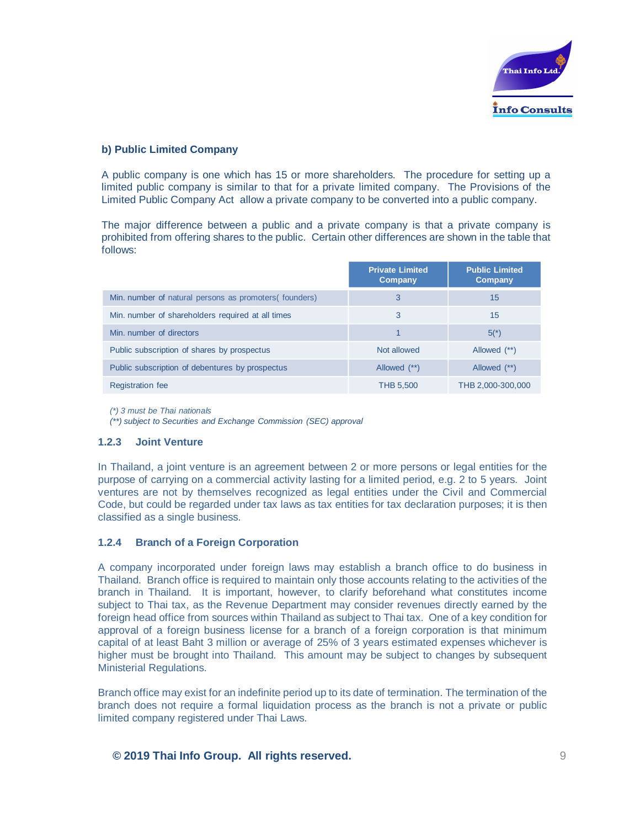

#### **b) Public Limited Company**

A public company is one which has 15 or more shareholders. The procedure for setting up a limited public company is similar to that for a private limited company. The Provisions of the Limited Public Company Act allow a private company to be converted into a public company.

The major difference between a public and a private company is that a private company is prohibited from offering shares to the public. Certain other differences are shown in the table that follows:

|                                                        | <b>Private Limited</b><br>Company | <b>Public Limited</b><br>Company |
|--------------------------------------------------------|-----------------------------------|----------------------------------|
| Min. number of natural persons as promoters (founders) | 3                                 | 15                               |
| Min. number of shareholders required at all times      | 3                                 | 15                               |
| Min. number of directors                               | 1                                 | $5(*)$                           |
| Public subscription of shares by prospectus            | Not allowed                       | Allowed (**)                     |
| Public subscription of debentures by prospectus        | Allowed (**)                      | Allowed (**)                     |
| <b>Registration fee</b>                                | <b>THB 5,500</b>                  | THB 2,000-300,000                |

*(\*) 3 must be Thai nationals*

*(\*\*) subject to Securities and Exchange Commission (SEC) approval*

#### **1.2.3 Joint Venture**

In Thailand, a joint venture is an agreement between 2 or more persons or legal entities for the purpose of carrying on a commercial activity lasting for a limited period, e.g. 2 to 5 years. Joint ventures are not by themselves recognized as legal entities under the Civil and Commercial Code, but could be regarded under tax laws as tax entities for tax declaration purposes; it is then classified as a single business.

#### **1.2.4 Branch of a Foreign Corporation**

A company incorporated under foreign laws may establish a branch office to do business in Thailand. Branch office is required to maintain only those accounts relating to the activities of the branch in Thailand. It is important, however, to clarify beforehand what constitutes income subject to Thai tax, as the Revenue Department may consider revenues directly earned by the foreign head office from sources within Thailand as subject to Thai tax. One of a key condition for approval of a foreign business license for a branch of a foreign corporation is that minimum capital of at least Baht 3 million or average of 25% of 3 years estimated expenses whichever is higher must be brought into Thailand. This amount may be subject to changes by subsequent Ministerial Regulations.

Branch office may exist for an indefinite period up to its date of termination. The termination of the branch does not require a formal liquidation process as the branch is not a private or public limited company registered under Thai Laws.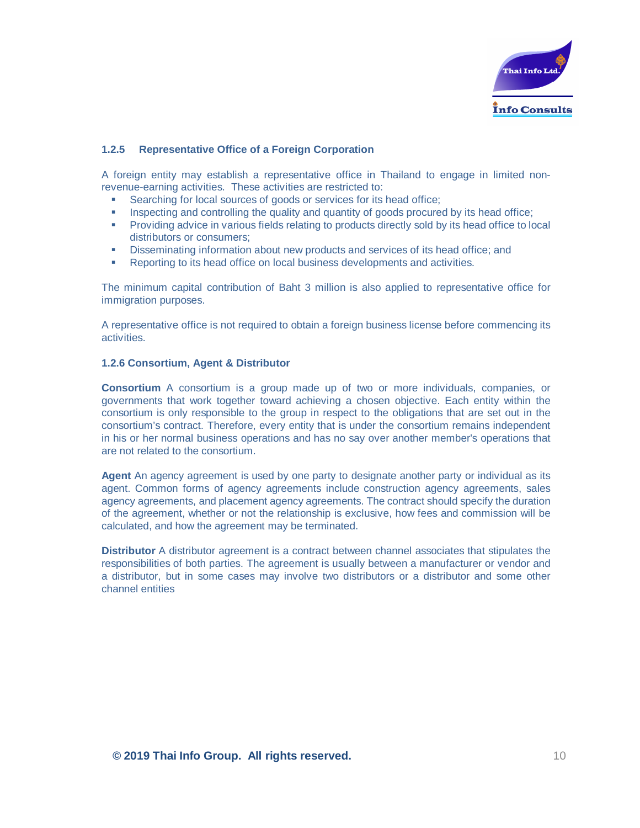

#### **1.2.5 Representative Office of a Foreign Corporation**

A foreign entity may establish a representative office in Thailand to engage in limited nonrevenue-earning activities. These activities are restricted to:

- Searching for local sources of goods or services for its head office;
- Inspecting and controlling the quality and quantity of goods procured by its head office;
- Providing advice in various fields relating to products directly sold by its head office to local distributors or consumers;
- **•** Disseminating information about new products and services of its head office; and
- Reporting to its head office on local business developments and activities.

The minimum capital contribution of Baht 3 million is also applied to representative office for immigration purposes.

A representative office is not required to obtain a foreign business license before commencing its activities.

#### **1.2.6 Consortium, Agent & Distributor**

**Consortium** A consortium is a group made up of two or more individuals, companies, or governments that work together toward achieving a chosen objective. Each entity within the consortium is only responsible to the group in respect to the obligations that are set out in the consortium's contract. Therefore, every entity that is under the consortium remains independent in his or her normal business operations and has no say over another member's operations that are not related to the consortium.

**Agent** An agency agreement is used by one party to designate another party or individual as its agent. Common forms of agency agreements include construction agency agreements, sales agency agreements, and placement agency agreements. The contract should specify the duration of the agreement, whether or not the relationship is exclusive, how fees and commission will be calculated, and how the agreement may be terminated.

**Distributor** A distributor agreement is a contract between channel associates that stipulates the responsibilities of both parties. The agreement is usually between a manufacturer or vendor and a distributor, but in some cases may involve two distributors or a distributor and some other channel entities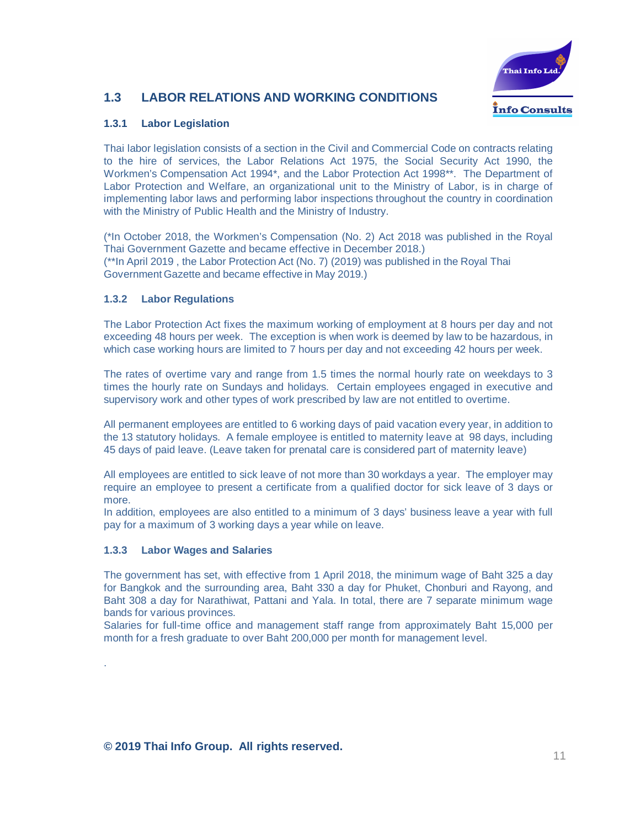

# **1.3 LABOR RELATIONS AND WORKING CONDITIONS**

# **1.3.1 Labor Legislation**

Thai labor legislation consists of a section in the Civil and Commercial Code on contracts relating to the hire of services, the Labor Relations Act 1975, the Social Security Act 1990, the Workmen's Compensation Act 1994\*, and the Labor Protection Act 1998\*\*. The Department of Labor Protection and Welfare, an organizational unit to the Ministry of Labor, is in charge of implementing labor laws and performing labor inspections throughout the country in coordination with the Ministry of Public Health and the Ministry of Industry.

(\*In October 2018, the Workmen's Compensation (No. 2) Act 2018 was published in the Royal Thai Government Gazette and became effective in December 2018.) (\*\*In April 2019 , the Labor Protection Act (No. 7) (2019) was published in the Royal Thai Government Gazette and became effective in May 2019.)

### **1.3.2 Labor Regulations**

The Labor Protection Act fixes the maximum working of employment at 8 hours per day and not exceeding 48 hours per week. The exception is when work is deemed by law to be hazardous, in which case working hours are limited to 7 hours per day and not exceeding 42 hours per week.

The rates of overtime vary and range from 1.5 times the normal hourly rate on weekdays to 3 times the hourly rate on Sundays and holidays. Certain employees engaged in executive and supervisory work and other types of work prescribed by law are not entitled to overtime.

All permanent employees are entitled to 6 working days of paid vacation every year, in addition to the 13 statutory holidays. A female employee is entitled to maternity leave at 98 days, including 45 days of paid leave. (Leave taken for prenatal care is considered part of maternity leave)

All employees are entitled to sick leave of not more than 30 workdays a year. The employer may require an employee to present a certificate from a qualified doctor for sick leave of 3 days or more.

In addition, employees are also entitled to a minimum of 3 days' business leave a year with full pay for a maximum of 3 working days a year while on leave.

#### **1.3.3 Labor Wages and Salaries**

.

The government has set, with effective from 1 April 2018, the minimum wage of Baht 325 a day for Bangkok and the surrounding area, Baht 330 a day for Phuket, Chonburi and Rayong, and Baht 308 a day for Narathiwat, Pattani and Yala. In total, there are 7 separate minimum wage bands for various provinces.

Salaries for full-time office and management staff range from approximately Baht 15,000 per month for a fresh graduate to over Baht 200,000 per month for management level.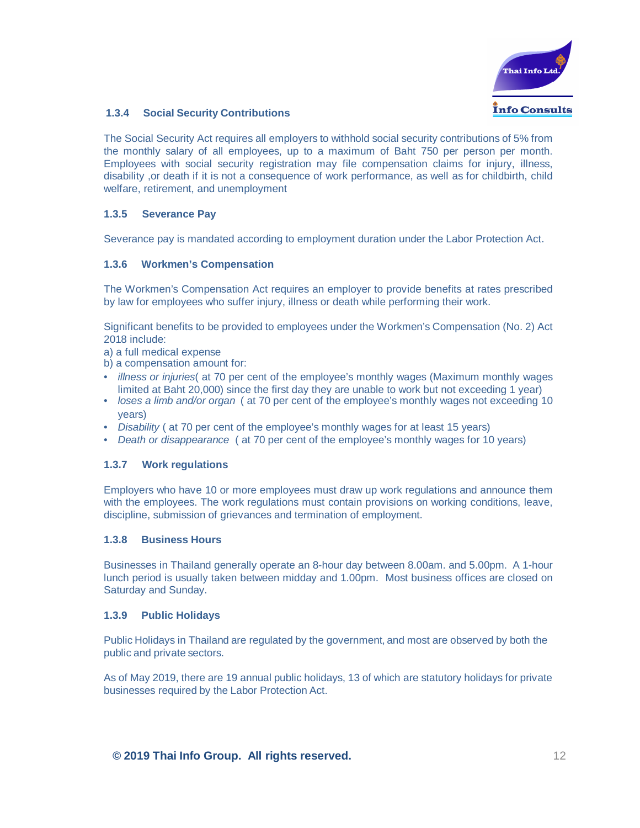

#### **1.3.4 Social Security Contributions**

The Social Security Act requires all employers to withhold social security contributions of 5% from the monthly salary of all employees, up to a maximum of Baht 750 per person per month. Employees with social security registration may file compensation claims for injury, illness, disability ,or death if it is not a consequence of work performance, as well as for childbirth, child welfare, retirement, and unemployment

#### **1.3.5 Severance Pay**

Severance pay is mandated according to employment duration under the Labor Protection Act.

#### **1.3.6 Workmen's Compensation**

The Workmen's Compensation Act requires an employer to provide benefits at rates prescribed by law for employees who suffer injury, illness or death while performing their work.

Significant benefits to be provided to employees under the Workmen's Compensation (No. 2) Act 2018 include:

a) a full medical expense

b) a compensation amount for:

- *illness or injuries*( at 70 per cent of the employee's monthly wages (Maximum monthly wages limited at Baht 20,000) since the first day they are unable to work but not exceeding 1 year)
- *loses a limb and/or organ* ( at 70 per cent of the employee's monthly wages not exceeding 10 years)
- *Disability* ( at 70 per cent of the employee's monthly wages for at least 15 years)
- *Death or disappearance* ( at 70 per cent of the employee's monthly wages for 10 years)

#### **1.3.7 Work regulations**

Employers who have 10 or more employees must draw up work regulations and announce them with the employees. The work regulations must contain provisions on working conditions, leave, discipline, submission of grievances and termination of employment.

#### **1.3.8 Business Hours**

Businesses in Thailand generally operate an 8-hour day between 8.00am. and 5.00pm. A 1-hour lunch period is usually taken between midday and 1.00pm. Most business offices are closed on Saturday and Sunday.

#### **1.3.9 Public Holidays**

Public Holidays in Thailand are regulated by the government, and most are observed by both the public and private sectors.

As of May 2019, there are 19 annual public holidays, 13 of which are statutory holidays for private businesses required by the Labor Protection Act.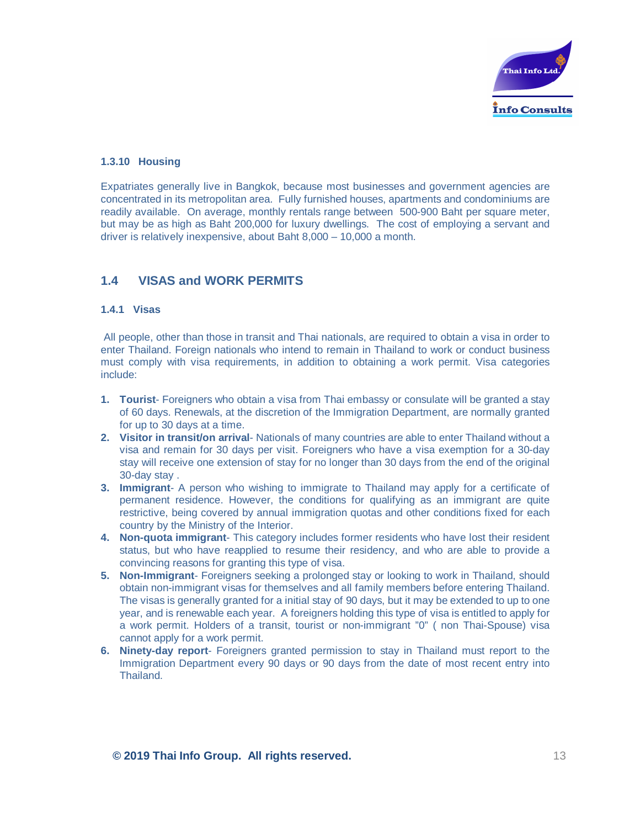

#### **1.3.10 Housing**

Expatriates generally live in Bangkok, because most businesses and government agencies are concentrated in its metropolitan area. Fully furnished houses, apartments and condominiums are readily available. On average, monthly rentals range between 500-900 Baht per square meter, but may be as high as Baht 200,000 for luxury dwellings. The cost of employing a servant and driver is relatively inexpensive, about Baht 8,000 – 10,000 a month.

# **1.4 VISAS and WORK PERMITS**

#### **1.4.1 Visas**

All people, other than those in transit and Thai nationals, are required to obtain a visa in order to enter Thailand. Foreign nationals who intend to remain in Thailand to work or conduct business must comply with visa requirements, in addition to obtaining a work permit. Visa categories include:

- **1. Tourist** Foreigners who obtain a visa from Thai embassy or consulate will be granted a stay of 60 days. Renewals, at the discretion of the Immigration Department, are normally granted for up to 30 days at a time.
- **2. Visitor in transit/on arrival** Nationals of many countries are able to enter Thailand without a visa and remain for 30 days per visit. Foreigners who have a visa exemption for a 30-day stay will receive one extension of stay for no longer than 30 days from the end of the original 30-day stay .
- **3. Immigrant** A person who wishing to immigrate to Thailand may apply for a certificate of permanent residence. However, the conditions for qualifying as an immigrant are quite restrictive, being covered by annual immigration quotas and other conditions fixed for each country by the Ministry of the Interior.
- **4. Non-quota immigrant** This category includes former residents who have lost their resident status, but who have reapplied to resume their residency, and who are able to provide a convincing reasons for granting this type of visa.
- **5. Non-Immigrant** Foreigners seeking a prolonged stay or looking to work in Thailand, should obtain non-immigrant visas for themselves and all family members before entering Thailand. The visas is generally granted for a initial stay of 90 days, but it may be extended to up to one year, and is renewable each year. A foreigners holding this type of visa is entitled to apply for a work permit. Holders of a transit, tourist or non-immigrant "0" ( non Thai-Spouse) visa cannot apply for a work permit.
- **6. Ninety-day report** Foreigners granted permission to stay in Thailand must report to the Immigration Department every 90 days or 90 days from the date of most recent entry into Thailand.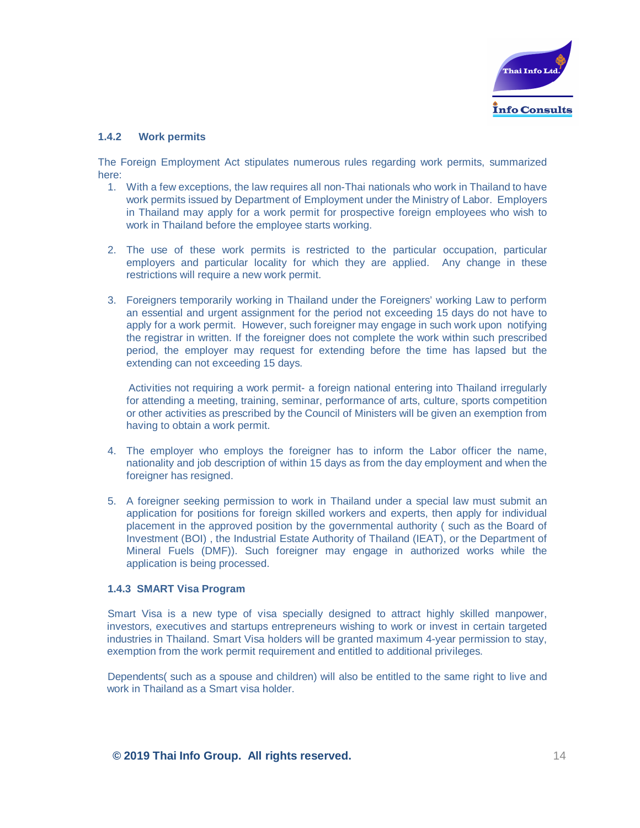

#### **1.4.2 Work permits**

The Foreign Employment Act stipulates numerous rules regarding work permits, summarized here:

- 1. With a few exceptions, the law requires all non-Thai nationals who work in Thailand to have work permits issued by Department of Employment under the Ministry of Labor. Employers in Thailand may apply for a work permit for prospective foreign employees who wish to work in Thailand before the employee starts working.
- 2. The use of these work permits is restricted to the particular occupation, particular employers and particular locality for which they are applied. Any change in these restrictions will require a new work permit.
- 3. Foreigners temporarily working in Thailand under the Foreigners' working Law to perform an essential and urgent assignment for the period not exceeding 15 days do not have to apply for a work permit. However, such foreigner may engage in such work upon notifying the registrar in written. If the foreigner does not complete the work within such prescribed period, the employer may request for extending before the time has lapsed but the extending can not exceeding 15 days.

Activities not requiring a work permit- a foreign national entering into Thailand irregularly for attending a meeting, training, seminar, performance of arts, culture, sports competition or other activities as prescribed by the Council of Ministers will be given an exemption from having to obtain a work permit.

- 4. The employer who employs the foreigner has to inform the Labor officer the name, nationality and job description of within 15 days as from the day employment and when the foreigner has resigned.
- 5. A foreigner seeking permission to work in Thailand under a special law must submit an application for positions for foreign skilled workers and experts, then apply for individual placement in the approved position by the governmental authority ( such as the Board of Investment (BOI) , the Industrial Estate Authority of Thailand (IEAT), or the Department of Mineral Fuels (DMF)). Such foreigner may engage in authorized works while the application is being processed.

#### **1.4.3 SMART Visa Program**

Smart Visa is a new type of visa specially designed to attract highly skilled manpower, investors, executives and startups entrepreneurs wishing to work or invest in certain targeted industries in Thailand. Smart Visa holders will be granted maximum 4-year permission to stay, exemption from the work permit requirement and entitled to additional privileges.

Dependents( such as a spouse and children) will also be entitled to the same right to live and work in Thailand as a Smart visa holder.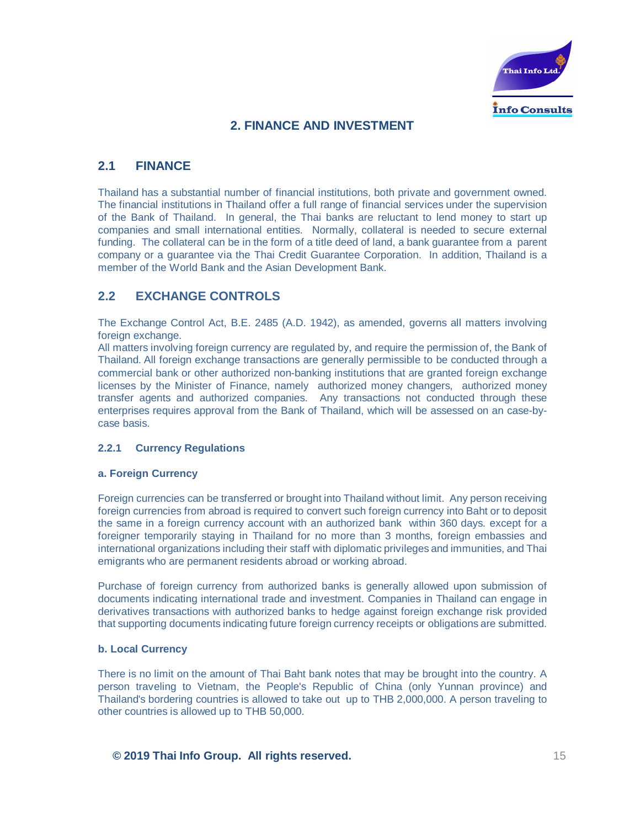

# **2. FINANCE AND INVESTMENT**

# **2.1 FINANCE**

Thailand has a substantial number of financial institutions, both private and government owned. The financial institutions in Thailand offer a full range of financial services under the supervision of the Bank of Thailand. In general, the Thai banks are reluctant to lend money to start up companies and small international entities. Normally, collateral is needed to secure external funding. The collateral can be in the form of a title deed of land, a bank guarantee from a parent company or a guarantee via the Thai Credit Guarantee Corporation. In addition, Thailand is a member of the World Bank and the Asian Development Bank.

# **2.2 EXCHANGE CONTROLS**

The Exchange Control Act, B.E. 2485 (A.D. 1942), as amended, governs all matters involving foreign exchange.

All matters involving foreign currency are regulated by, and require the permission of, the Bank of Thailand. All foreign exchange transactions are generally permissible to be conducted through a commercial bank or other authorized non-banking institutions that are granted foreign exchange licenses by the Minister of Finance, namely authorized money changers, authorized money transfer agents and authorized companies. Any transactions not conducted through these enterprises requires approval from the Bank of Thailand, which will be assessed on an case-bycase basis.

#### **2.2.1 Currency Regulations**

#### **a. Foreign Currency**

Foreign currencies can be transferred or brought into Thailand without limit. Any person receiving foreign currencies from abroad is required to convert such foreign currency into Baht or to deposit the same in a foreign currency account with an authorized bank within 360 days. except for a foreigner temporarily staying in Thailand for no more than 3 months, foreign embassies and international organizations including their staff with diplomatic privileges and immunities, and Thai emigrants who are permanent residents abroad or working abroad.

Purchase of foreign currency from authorized banks is generally allowed upon submission of documents indicating international trade and investment. Companies in Thailand can engage in derivatives transactions with authorized banks to hedge against foreign exchange risk provided that supporting documents indicating future foreign currency receipts or obligations are submitted.

#### **b. Local Currency**

There is no limit on the amount of Thai Baht bank notes that may be brought into the country. A person traveling to Vietnam, the People's Republic of China (only Yunnan province) and Thailand's bordering countries is allowed to take out up to THB 2,000,000. A person traveling to other countries is allowed up to THB 50,000.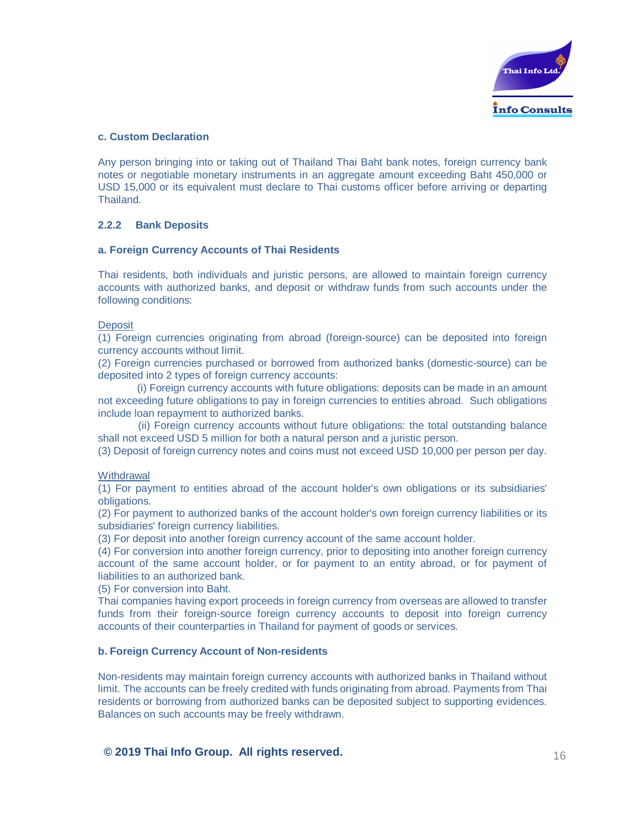

#### **c. Custom Declaration**

Any person bringing into or taking out of Thailand Thai Baht bank notes, foreign currency bank notes or negotiable monetary instruments in an aggregate amount exceeding Baht 450,000 or USD 15,000 or its equivalent must declare to Thai customs officer before arriving or departing Thailand.

#### **2.2.2 Bank Deposits**

#### **a. Foreign Currency Accounts of Thai Residents**

Thai residents, both individuals and juristic persons, are allowed to maintain foreign currency accounts with authorized banks, and deposit or withdraw funds from such accounts under the following conditions:

#### **Deposit**

(1) Foreign currencies originating from abroad (foreign-source) can be deposited into foreign currency accounts without limit.

(2) Foreign currencies purchased or borrowed from authorized banks (domestic-source) can be deposited into 2 types of foreign currency accounts:

(i) Foreign currency accounts with future obligations: deposits can be made in an amount not exceeding future obligations to pay in foreign currencies to entities abroad. Such obligations include loan repayment to authorized banks.

(ii) Foreign currency accounts without future obligations: the total outstanding balance shall not exceed USD 5 million for both a natural person and a juristic person.

(3) Deposit of foreign currency notes and coins must not exceed USD 10,000 per person per day.

#### **Withdrawal**

(1) For payment to entities abroad of the account holder's own obligations or its subsidiaries' obligations.

(2) For payment to authorized banks of the account holder's own foreign currency liabilities or its subsidiaries' foreign currency liabilities.

(3) For deposit into another foreign currency account of the same account holder.

(4) For conversion into another foreign currency, prior to depositing into another foreign currency account of the same account holder, or for payment to an entity abroad, or for payment of liabilities to an authorized bank.

(5) For conversion into Baht.

Thai companies having export proceeds in foreign currency from overseas are allowed to transfer funds from their foreign-source foreign currency accounts to deposit into foreign currency accounts of their counterparties in Thailand for payment of goods or services.

#### **b. Foreign Currency Account of Non-residents**

Non-residents may maintain foreign currency accounts with authorized banks in Thailand without limit. The accounts can be freely credited with funds originating from abroad. Payments from Thai residents or borrowing from authorized banks can be deposited subject to supporting evidences. Balances on such accounts may be freely withdrawn.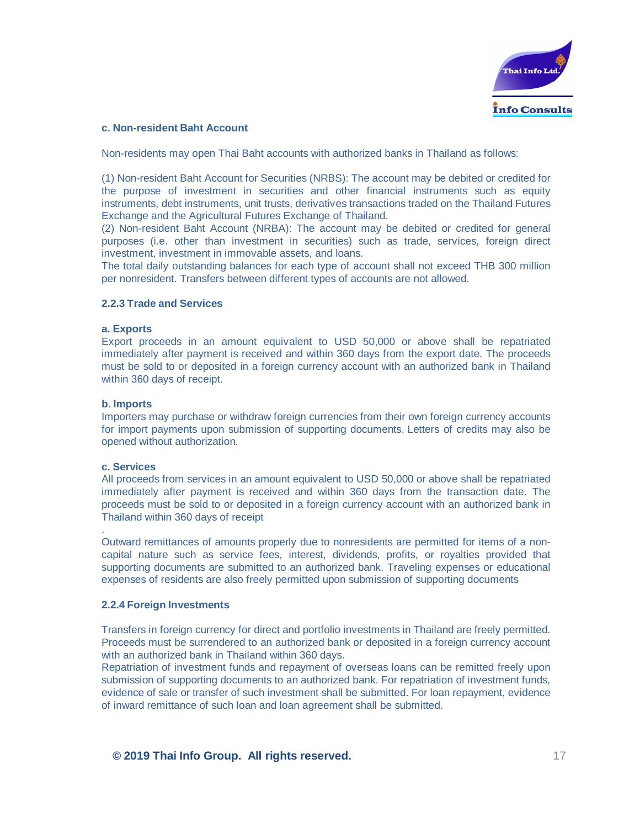

#### **c. Non-resident Baht Account**

Non-residents may open Thai Baht accounts with authorized banks in Thailand as follows:

(1) Non-resident Baht Account for Securities (NRBS): The account may be debited or credited for the purpose of investment in securities and other financial instruments such as equity instruments, debt instruments, unit trusts, derivatives transactions traded on the Thailand Futures Exchange and the Agricultural Futures Exchange of Thailand.

(2) Non-resident Baht Account (NRBA): The account may be debited or credited for general purposes (i.e. other than investment in securities) such as trade, services, foreign direct investment, investment in immovable assets, and loans.

The total daily outstanding balances for each type of account shall not exceed THB 300 million per nonresident. Transfers between different types of accounts are not allowed.

#### **2.2.3 Trade and Services**

#### **a. Exports**

Export proceeds in an amount equivalent to USD 50,000 or above shall be repatriated immediately after payment is received and within 360 days from the export date. The proceeds must be sold to or deposited in a foreign currency account with an authorized bank in Thailand within 360 days of receipt.

#### **b. Imports**

Importers may purchase or withdraw foreign currencies from their own foreign currency accounts for import payments upon submission of supporting documents. Letters of credits may also be opened without authorization.

#### **c. Services**

.

All proceeds from services in an amount equivalent to USD 50,000 or above shall be repatriated immediately after payment is received and within 360 days from the transaction date. The proceeds must be sold to or deposited in a foreign currency account with an authorized bank in Thailand within 360 days of receipt

Outward remittances of amounts properly due to nonresidents are permitted for items of a noncapital nature such as service fees, interest, dividends, profits, or royalties provided that supporting documents are submitted to an authorized bank. Traveling expenses or educational expenses of residents are also freely permitted upon submission of supporting documents

#### **2.2.4 Foreign Investments**

Transfers in foreign currency for direct and portfolio investments in Thailand are freely permitted. Proceeds must be surrendered to an authorized bank or deposited in a foreign currency account with an authorized bank in Thailand within 360 days.

Repatriation of investment funds and repayment of overseas loans can be remitted freely upon submission of supporting documents to an authorized bank. For repatriation of investment funds, evidence of sale or transfer of such investment shall be submitted. For loan repayment, evidence of inward remittance of such loan and loan agreement shall be submitted.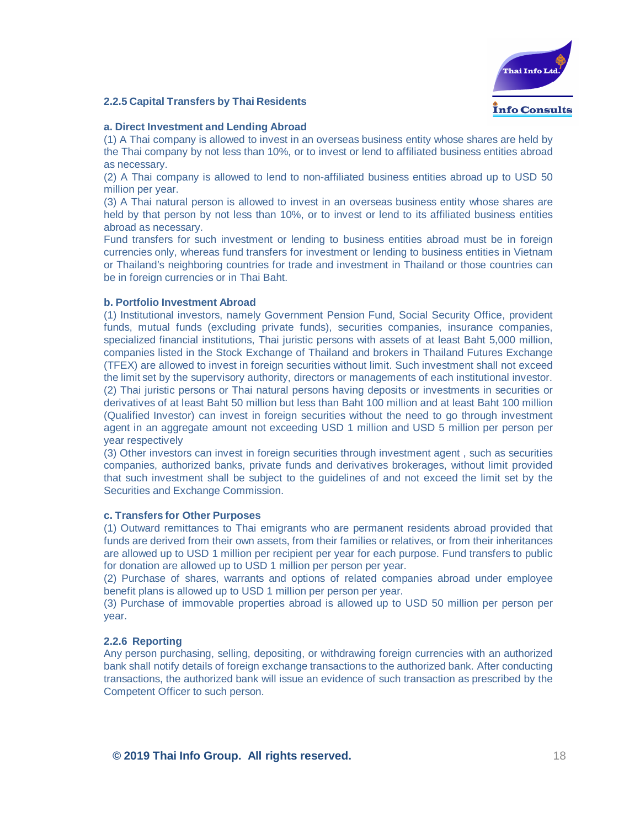#### **2.2.5 Capital Transfers by Thai Residents**



#### **a. Direct Investment and Lending Abroad**

(1) A Thai company is allowed to invest in an overseas business entity whose shares are held by the Thai company by not less than 10%, or to invest or lend to affiliated business entities abroad as necessary.

(2) A Thai company is allowed to lend to non-affiliated business entities abroad up to USD 50 million per year.

(3) A Thai natural person is allowed to invest in an overseas business entity whose shares are held by that person by not less than 10%, or to invest or lend to its affiliated business entities abroad as necessary.

Fund transfers for such investment or lending to business entities abroad must be in foreign currencies only, whereas fund transfers for investment or lending to business entities in Vietnam or Thailand's neighboring countries for trade and investment in Thailand or those countries can be in foreign currencies or in Thai Baht.

#### **b. Portfolio Investment Abroad**

(1) Institutional investors, namely Government Pension Fund, Social Security Office, provident funds, mutual funds (excluding private funds), securities companies, insurance companies, specialized financial institutions, Thai juristic persons with assets of at least Baht 5,000 million, companies listed in the Stock Exchange of Thailand and brokers in Thailand Futures Exchange (TFEX) are allowed to invest in foreign securities without limit. Such investment shall not exceed the limit set by the supervisory authority, directors or managements of each institutional investor. (2) Thai juristic persons or Thai natural persons having deposits or investments in securities or derivatives of at least Baht 50 million but less than Baht 100 million and at least Baht 100 million (Qualified Investor) can invest in foreign securities without the need to go through investment agent in an aggregate amount not exceeding USD 1 million and USD 5 million per person per year respectively

(3) Other investors can invest in foreign securities through investment agent , such as securities companies, authorized banks, private funds and derivatives brokerages, without limit provided that such investment shall be subject to the guidelines of and not exceed the limit set by the Securities and Exchange Commission.

#### **c. Transfers for Other Purposes**

(1) Outward remittances to Thai emigrants who are permanent residents abroad provided that funds are derived from their own assets, from their families or relatives, or from their inheritances are allowed up to USD 1 million per recipient per year for each purpose. Fund transfers to public for donation are allowed up to USD 1 million per person per year.

(2) Purchase of shares, warrants and options of related companies abroad under employee benefit plans is allowed up to USD 1 million per person per year.

(3) Purchase of immovable properties abroad is allowed up to USD 50 million per person per year.

#### **2.2.6 Reporting**

Any person purchasing, selling, depositing, or withdrawing foreign currencies with an authorized bank shall notify details of foreign exchange transactions to the authorized bank. After conducting transactions, the authorized bank will issue an evidence of such transaction as prescribed by the Competent Officer to such person.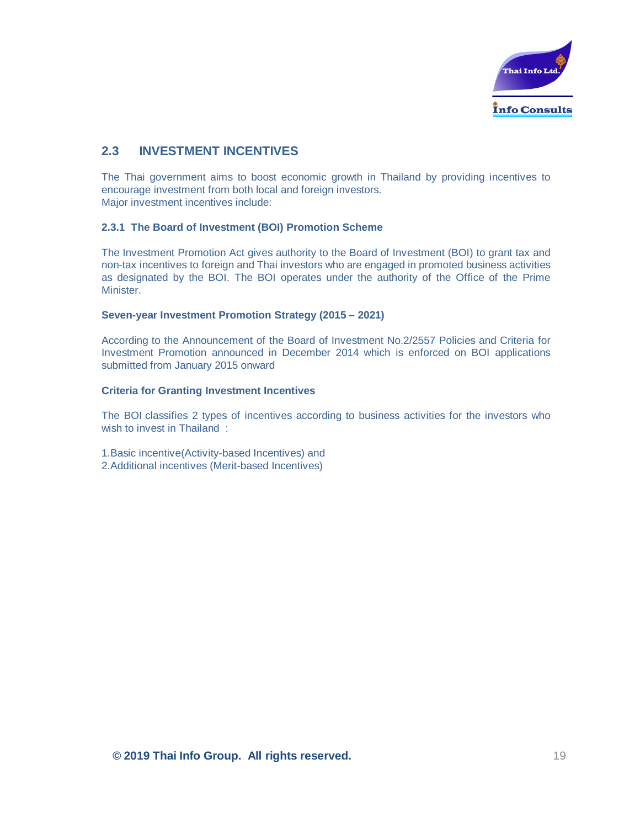

# **2.3 INVESTMENT INCENTIVES**

The Thai government aims to boost economic growth in Thailand by providing incentives to encourage investment from both local and foreign investors. Major investment incentives include:

#### **2.3.1 The Board of Investment (BOI) Promotion Scheme**

The Investment Promotion Act gives authority to the Board of Investment (BOI) to grant tax and non-tax incentives to foreign and Thai investors who are engaged in promoted business activities as designated by the BOI. The BOI operates under the authority of the Office of the Prime Minister.

#### **Seven-year Investment Promotion Strategy (2015 – 2021)**

According to the Announcement of the Board of Investment No.2/2557 Policies and Criteria for Investment Promotion announced in December 2014 which is enforced on BOI applications submitted from January 2015 onward

#### **Criteria for Granting Investment Incentives**

The BOI classifies 2 types of incentives according to business activities for the investors who wish to invest in Thailand:

1.Basic incentive(Activity-based Incentives) and 2.Additional incentives (Merit-based Incentives)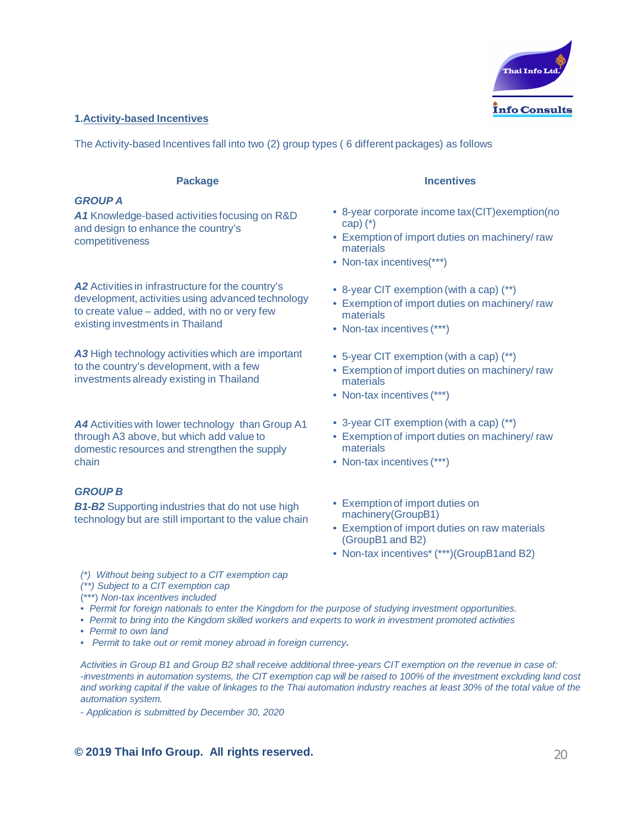

#### **1.Activity-based Incentives**

The Activity-based Incentives fall into two (2) group types ( 6 different packages) as follows

#### **Package**

#### *GROUP A*

*A1* Knowledge-based activities focusing on R&D and design to enhance the country's competitiveness

*A2* Activities in infrastructure for the country's development, activities using advanced technology to create value – added, with no or very few existing investments in Thailand

*A3* High technology activities which are important to the country's development, with a few investments already existing in Thailand

*A4* Activities with lower technology than Group A1 through A3 above, but which add value to domestic resources and strengthen the supply chain

#### *GROUP B*

**B1-B2** Supporting industries that do not use high technology but are still important to the value chain

*(\*) Without being subject to a CIT exemption cap*

- *(\*\*) Subject to a CIT exemption cap*
- (\*\*\*) *Non-tax incentives included*
- *Permit for foreign nationals to enter the Kingdom for the purpose of studying investment opportunities.*
- *Permit to bring into the Kingdom skilled workers and experts to work in investment promoted activities*
- *Permit to own land*
- *Permit to take out or remit money abroad in foreign currency***.**

*Activities in Group B1 and Group B2 shall receive additional three-years CIT exemption on the revenue in case of:* -*investments in automation systems, the CIT exemption cap will be raised to 100% of the investment excluding land cost and working capital if the value of linkages to the Thai automation industry reaches at least 30% of the total value of the automation system.*

- *Application is submitted by December 30, 2020*

# **© 2019 Thai Info Group. All rights reserved.** 20

#### **Incentives**

- 8-year corporate income tax(CIT)exemption(no cap) (\*)
- Exemption of import duties on machinery/ raw materials
- Non-tax incentives(\*\*\*)
- 8-year CIT exemption (with a cap) (\*\*)
- Exemption of import duties on machinery/ raw materials
- Non-tax incentives (\*\*\*)
- 5-year CIT exemption (with a cap) (\*\*)
- Exemption of import duties on machinery/ raw materials
- Non-tax incentives (\*\*\*)
- 3-year CIT exemption (with a cap) (\*\*)
- Exemption of import duties on machinery/ raw materials
- Non-tax incentives (\*\*\*)
- Exemption of import duties on machinery(GroupB1)
- Exemption of import duties on raw materials (GroupB1 and B2)
- Non-tax incentives<sup>\*</sup> (\*\*\*)(GroupB1and B2)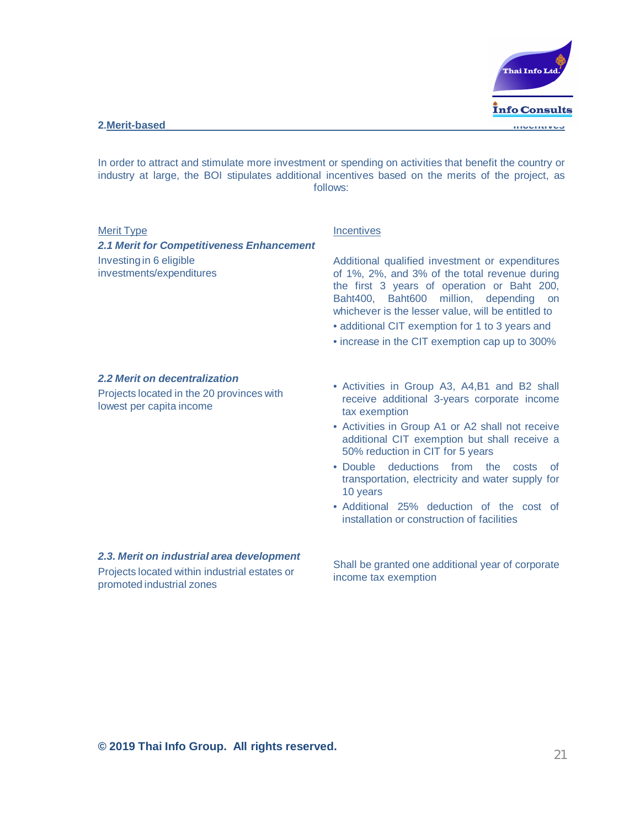

In order to attract and stimulate more investment or spending on activities that benefit the country or industry at large, the BOI stipulates additional incentives based on the merits of the project, as follows:

#### Merit Type

*2.1 Merit for Competitiveness Enhancement* Investing in 6 eligible investments/expenditures

#### **Incentives**

Additional qualified investment or expenditures of 1%, 2%, and 3% of the total revenue during the first 3 years of operation or Baht 200, Baht400, Baht600 million, depending on whichever is the lesser value, will be entitled to

- additional CIT exemption for 1 to 3 years and
- increase in the CIT exemption cap up to 300%

#### *2.2 Merit on decentralization*

Projects located in the 20 provinces with lowest per capita income

- Activities in Group A3, A4,B1 and B2 shall receive additional 3-years corporate income tax exemption
- Activities in Group A1 or A2 shall not receive additional CIT exemption but shall receive a 50% reduction in CIT for 5 years
- Double deductions from the costs of transportation, electricity and water supply for 10 years
- Additional 25% deduction of the cost of installation or construction of facilities

*2.3. Merit on industrial area development* Projects located within industrial estates or promoted industrial zones

Shall be granted one additional year of corporate income tax exemption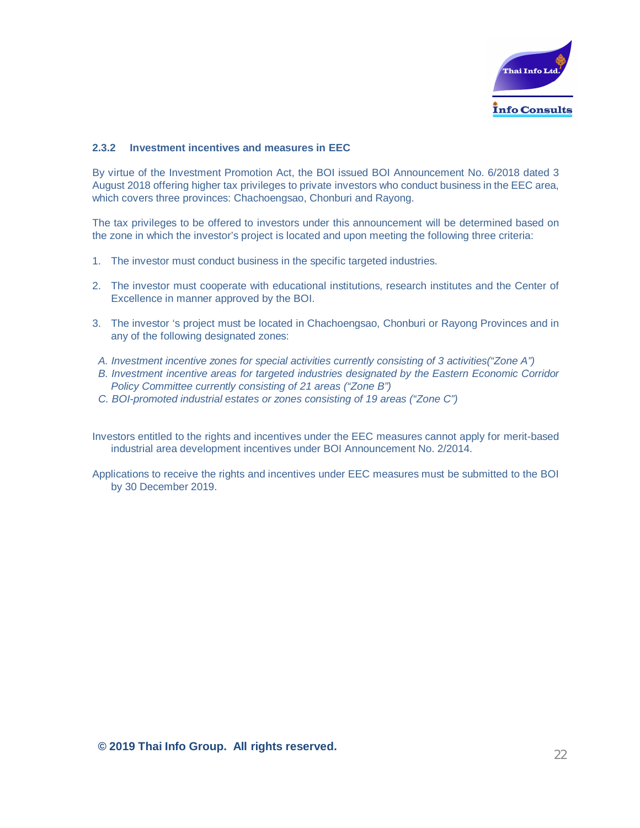

#### **2.3.2 Investment incentives and measures in EEC**

By virtue of the Investment Promotion Act, the BOI issued BOI Announcement No. 6/2018 dated 3 August 2018 offering higher tax privileges to private investors who conduct business in the EEC area, which covers three provinces: Chachoengsao, Chonburi and Rayong.

The tax privileges to be offered to investors under this announcement will be determined based on the zone in which the investor's project is located and upon meeting the following three criteria:

- 1. The investor must conduct business in the specific targeted industries.
- 2. The investor must cooperate with educational institutions, research institutes and the Center of Excellence in manner approved by the BOI.
- 3. The investor 's project must be located in Chachoengsao, Chonburi or Rayong Provinces and in any of the following designated zones:
- *A. Investment incentive zones for special activities currently consisting of 3 activities("Zone A")*
- *B. Investment incentive areas for targeted industries designated by the Eastern Economic Corridor Policy Committee currently consisting of 21 areas ("Zone B")*
- *C. BOI-promoted industrial estates or zones consisting of 19 areas ("Zone C")*

Investors entitled to the rights and incentives under the EEC measures cannot apply for merit-based industrial area development incentives under BOI Announcement No. 2/2014.

Applications to receive the rights and incentives under EEC measures must be submitted to the BOI by 30 December 2019.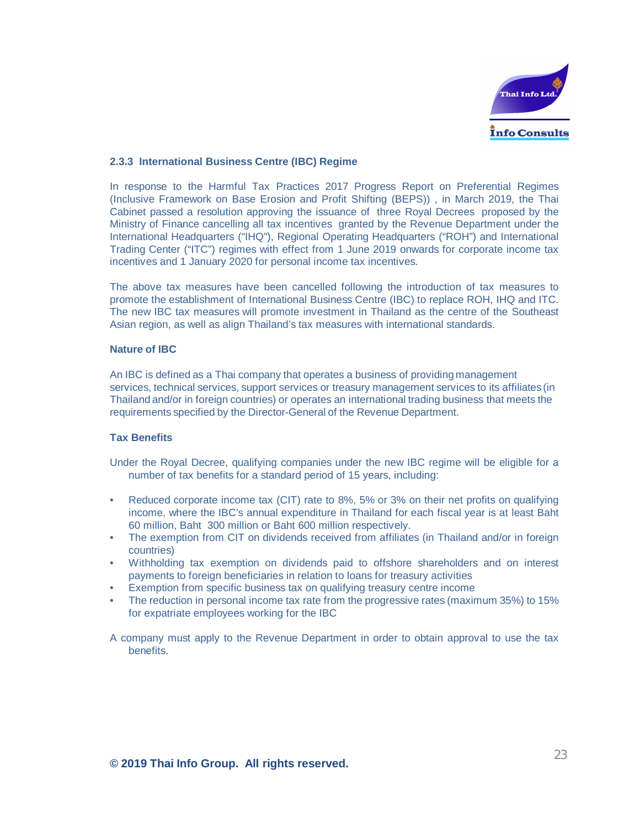

#### **2.3.3 International Business Centre (IBC) Regime**

In response to the Harmful Tax Practices 2017 Progress Report on Preferential Regimes (Inclusive Framework on Base Erosion and Profit Shifting (BEPS)) , in March 2019, the Thai Cabinet passed a resolution approving the issuance of three Royal Decrees proposed by the Ministry of Finance cancelling all tax incentives granted by the Revenue Department under the International Headquarters ("IHQ"), Regional Operating Headquarters ("ROH") and International Trading Center ("ITC") regimes with effect from 1 June 2019 onwards for corporate income tax incentives and 1 January 2020 for personal income tax incentives.

The above tax measures have been cancelled following the introduction of tax measures to promote the establishment of International Business Centre (IBC) to replace ROH, IHQ and ITC. The new IBC tax measures will promote investment in Thailand as the centre of the Southeast Asian region, as well as align Thailand's tax measures with international standards.

#### **Nature of IBC**

An IBC is defined as a Thai company that operates a business of providing management services, technical services, support services or treasury management services to its affiliates (in Thailand and/or in foreign countries) or operates an international trading business that meets the requirements specified by the Director-General of the Revenue Department.

#### **Tax Benefits**

- Under the Royal Decree, qualifying companies under the new IBC regime will be eligible for a number of tax benefits for a standard period of 15 years, including:
- Reduced corporate income tax (CIT) rate to 8%, 5% or 3% on their net profits on qualifying income, where the IBC's annual expenditure in Thailand for each fiscal year is at least Baht 60 million, Baht 300 million or Baht 600 million respectively.
- The exemption from CIT on dividends received from affiliates (in Thailand and/or in foreign countries)
- Withholding tax exemption on dividends paid to offshore shareholders and on interest payments to foreign beneficiaries in relation to loans for treasury activities
- Exemption from specific business tax on qualifying treasury centre income
- The reduction in personal income tax rate from the progressive rates (maximum 35%) to 15% for expatriate employees working for the IBC

A company must apply to the Revenue Department in order to obtain approval to use the tax benefits.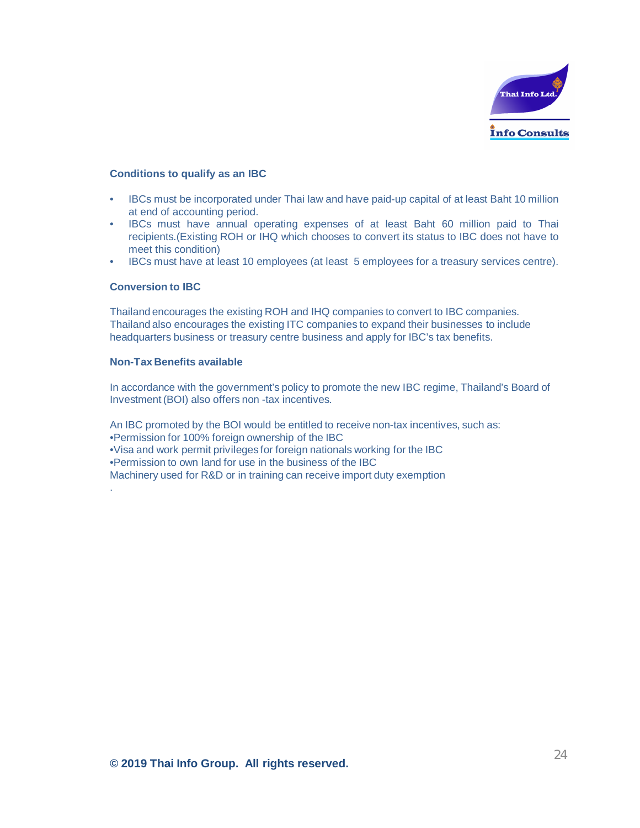

#### **Conditions to qualify as an IBC**

- IBCs must be incorporated under Thai law and have paid-up capital of at least Baht 10 million at end of accounting period.
- IBCs must have annual operating expenses of at least Baht 60 million paid to Thai recipients.(Existing ROH or IHQ which chooses to convert its status to IBC does not have to meet this condition)
- IBCs must have at least 10 employees (at least 5 employees for a treasury services centre).

#### **Conversion to IBC**

.

Thailand encourages the existing ROH and IHQ companies to convert to IBC companies. Thailand also encourages the existing ITC companies to expand their businesses to include headquarters business or treasury centre business and apply for IBC's tax benefits.

#### **Non-Tax Benefits available**

In accordance with the government's policy to promote the new IBC regime, Thailand's Board of Investment (BOI) also offers non -tax incentives.

An IBC promoted by the BOI would be entitled to receive non-tax incentives, such as: •Permission for 100% foreign ownership of the IBC •Visa and work permit privileges for foreign nationals working for the IBC •Permission to own land for use in the business of the IBC Machinery used for R&D or in training can receive import duty exemption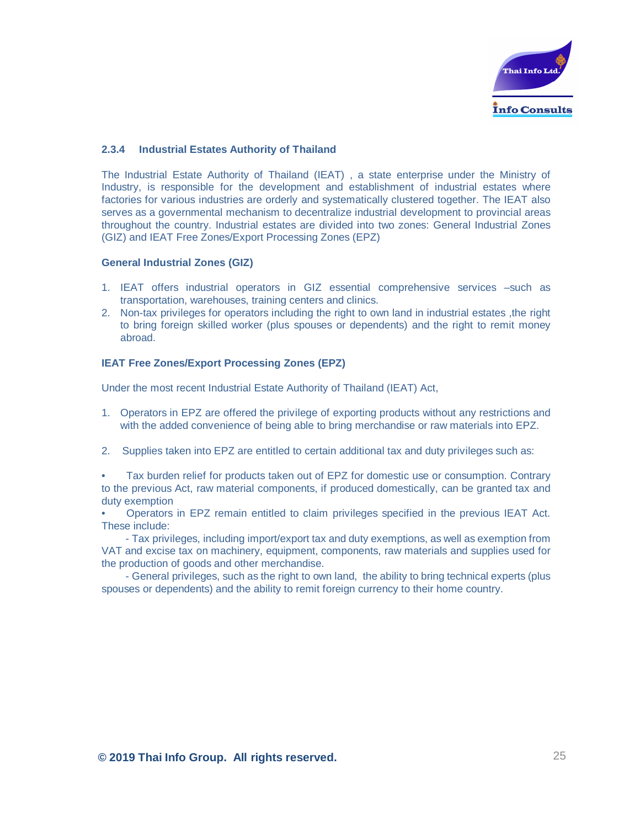

#### **2.3.4 Industrial Estates Authority of Thailand**

The Industrial Estate Authority of Thailand (IEAT) , a state enterprise under the Ministry of Industry, is responsible for the development and establishment of industrial estates where factories for various industries are orderly and systematically clustered together. The IEAT also serves as a governmental mechanism to decentralize industrial development to provincial areas throughout the country. Industrial estates are divided into two zones: General Industrial Zones (GIZ) and IEAT Free Zones/Export Processing Zones (EPZ)

#### **General Industrial Zones (GIZ)**

- 1. IEAT offers industrial operators in GIZ essential comprehensive services –such as transportation, warehouses, training centers and clinics.
- 2. Non-tax privileges for operators including the right to own land in industrial estates ,the right to bring foreign skilled worker (plus spouses or dependents) and the right to remit money abroad.

#### **IEAT Free Zones/Export Processing Zones (EPZ)**

Under the most recent Industrial Estate Authority of Thailand (IEAT) Act,

- 1. Operators in EPZ are offered the privilege of exporting products without any restrictions and with the added convenience of being able to bring merchandise or raw materials into EPZ.
- 2. Supplies taken into EPZ are entitled to certain additional tax and duty privileges such as:
- Tax burden relief for products taken out of EPZ for domestic use or consumption. Contrary to the previous Act, raw material components, if produced domestically, can be granted tax and duty exemption
- Operators in EPZ remain entitled to claim privileges specified in the previous IEAT Act. These include:

- Tax privileges, including import/export tax and duty exemptions, as well as exemption from VAT and excise tax on machinery, equipment, components, raw materials and supplies used for the production of goods and other merchandise.

- General privileges, such as the right to own land, the ability to bring technical experts (plus spouses or dependents) and the ability to remit foreign currency to their home country.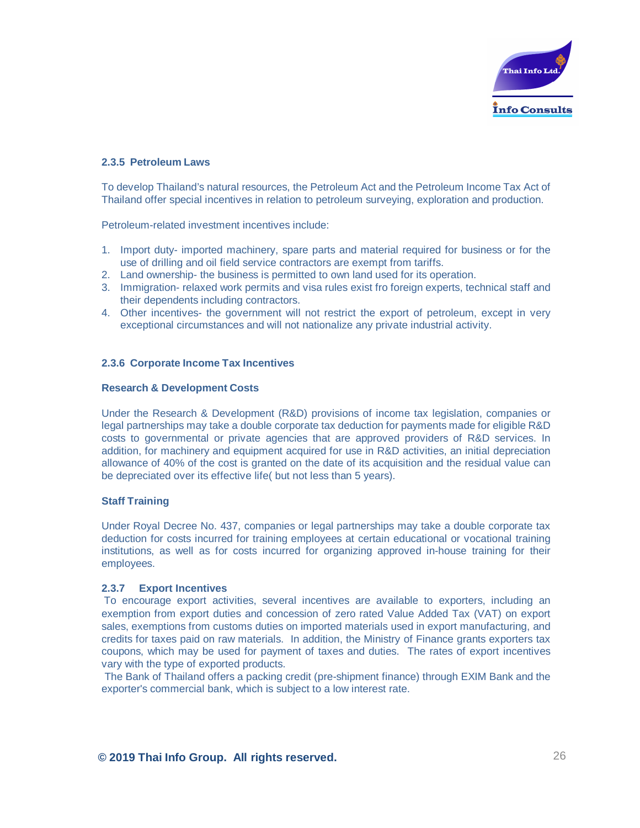

#### **2.3.5 Petroleum Laws**

To develop Thailand's natural resources, the Petroleum Act and the Petroleum Income Tax Act of Thailand offer special incentives in relation to petroleum surveying, exploration and production.

Petroleum-related investment incentives include:

- 1. Import duty- imported machinery, spare parts and material required for business or for the use of drilling and oil field service contractors are exempt from tariffs.
- 2. Land ownership- the business is permitted to own land used for its operation.
- 3. Immigration- relaxed work permits and visa rules exist fro foreign experts, technical staff and their dependents including contractors.
- 4. Other incentives- the government will not restrict the export of petroleum, except in very exceptional circumstances and will not nationalize any private industrial activity.

#### **2.3.6 Corporate Income Tax Incentives**

#### **Research & Development Costs**

Under the Research & Development (R&D) provisions of income tax legislation, companies or legal partnerships may take a double corporate tax deduction for payments made for eligible R&D costs to governmental or private agencies that are approved providers of R&D services. In addition, for machinery and equipment acquired for use in R&D activities, an initial depreciation allowance of 40% of the cost is granted on the date of its acquisition and the residual value can be depreciated over its effective life( but not less than 5 years).

#### **Staff Training**

Under Royal Decree No. 437, companies or legal partnerships may take a double corporate tax deduction for costs incurred for training employees at certain educational or vocational training institutions, as well as for costs incurred for organizing approved in-house training for their employees.

#### **2.3.7 Export Incentives**

To encourage export activities, several incentives are available to exporters, including an exemption from export duties and concession of zero rated Value Added Tax (VAT) on export sales, exemptions from customs duties on imported materials used in export manufacturing, and credits for taxes paid on raw materials. In addition, the Ministry of Finance grants exporters tax coupons, which may be used for payment of taxes and duties. The rates of export incentives vary with the type of exported products.

The Bank of Thailand offers a packing credit (pre-shipment finance) through EXIM Bank and the exporter's commercial bank, which is subject to a low interest rate.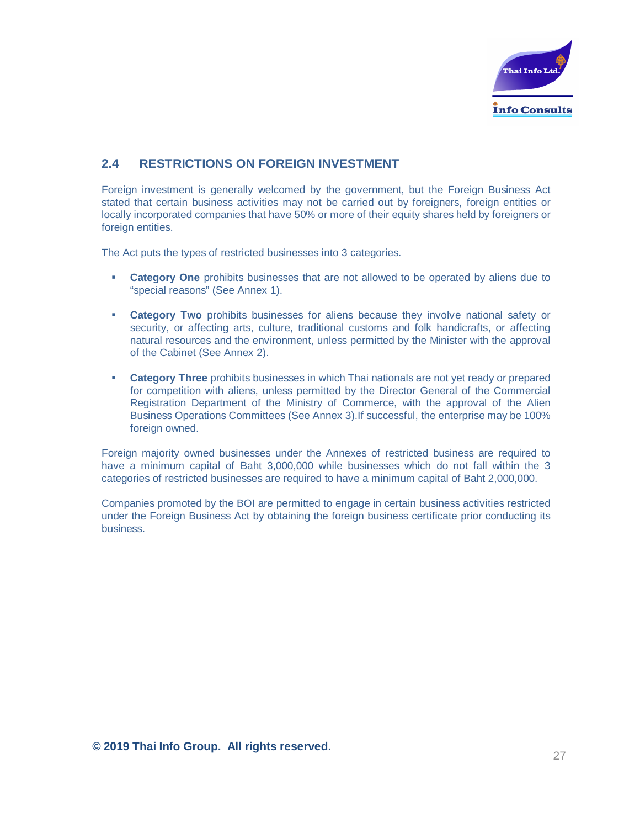

# **2.4 RESTRICTIONS ON FOREIGN INVESTMENT**

Foreign investment is generally welcomed by the government, but the Foreign Business Act stated that certain business activities may not be carried out by foreigners, foreign entities or locally incorporated companies that have 50% or more of their equity shares held by foreigners or foreign entities.

The Act puts the types of restricted businesses into 3 categories.

- **Category One** prohibits businesses that are not allowed to be operated by aliens due to "special reasons" (See Annex 1).
- **Category Two** prohibits businesses for aliens because they involve national safety or security, or affecting arts, culture, traditional customs and folk handicrafts, or affecting natural resources and the environment, unless permitted by the Minister with the approval of the Cabinet (See Annex 2).
- **Category Three** prohibits businesses in which Thai nationals are not yet ready or prepared for competition with aliens, unless permitted by the Director General of the Commercial Registration Department of the Ministry of Commerce, with the approval of the Alien Business Operations Committees (See Annex 3).If successful, the enterprise may be 100% foreign owned.

Foreign majority owned businesses under the Annexes of restricted business are required to have a minimum capital of Baht 3,000,000 while businesses which do not fall within the 3 categories of restricted businesses are required to have a minimum capital of Baht 2,000,000.

Companies promoted by the BOI are permitted to engage in certain business activities restricted under the Foreign Business Act by obtaining the foreign business certificate prior conducting its business.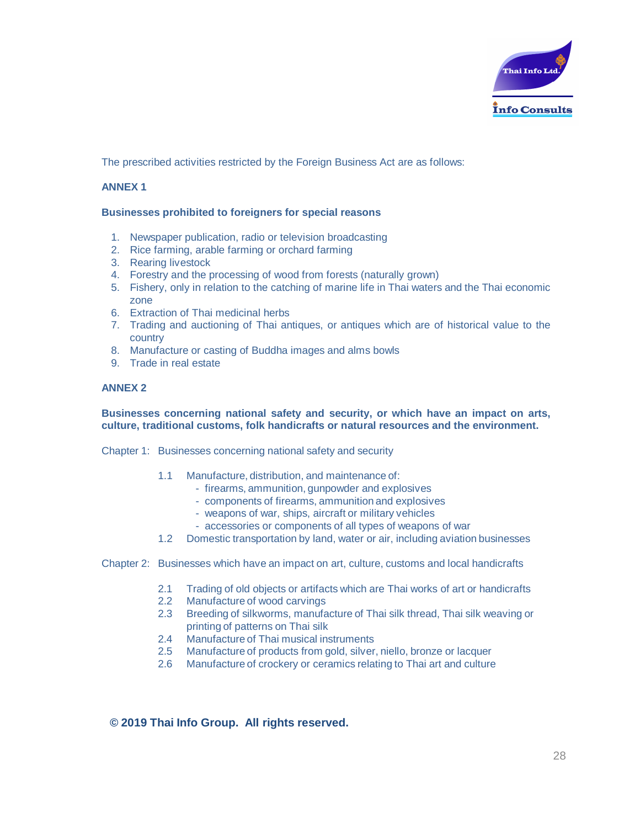

The prescribed activities restricted by the Foreign Business Act are as follows:

#### **ANNEX 1**

#### **Businesses prohibited to foreigners for special reasons**

- 1. Newspaper publication, radio or television broadcasting
- 2. Rice farming, arable farming or orchard farming
- 3. Rearing livestock
- 4. Forestry and the processing of wood from forests (naturally grown)
- 5. Fishery, only in relation to the catching of marine life in Thai waters and the Thai economic zone
- 6. Extraction of Thai medicinal herbs
- 7. Trading and auctioning of Thai antiques, or antiques which are of historical value to the country
- 8. Manufacture or casting of Buddha images and alms bowls
- 9. Trade in real estate

#### **ANNEX 2**

#### **Businesses concerning national safety and security, or which have an impact on arts, culture, traditional customs, folk handicrafts or natural resources and the environment.**

Chapter 1: Businesses concerning national safety and security

- 1.1 Manufacture, distribution, and maintenance of:
	- firearms, ammunition, gunpowder and explosives
		- components of firearms, ammunition and explosives
	- weapons of war, ships, aircraft or military vehicles
	- accessories or components of all types of weapons of war
- 1.2 Domestic transportation by land, water or air, including aviation businesses

#### Chapter 2: Businesses which have an impact on art, culture, customs and local handicrafts

- 2.1 Trading of old objects or artifacts which are Thai works of art or handicrafts
- 2.2 Manufacture of wood carvings
- 2.3 Breeding of silkworms, manufacture of Thai silk thread, Thai silk weaving or printing of patterns on Thai silk
- 2.4 Manufacture of Thai musical instruments
- 2.5 Manufacture of products from gold, silver, niello, bronze or lacquer
- 2.6 Manufacture of crockery or ceramics relating to Thai art and culture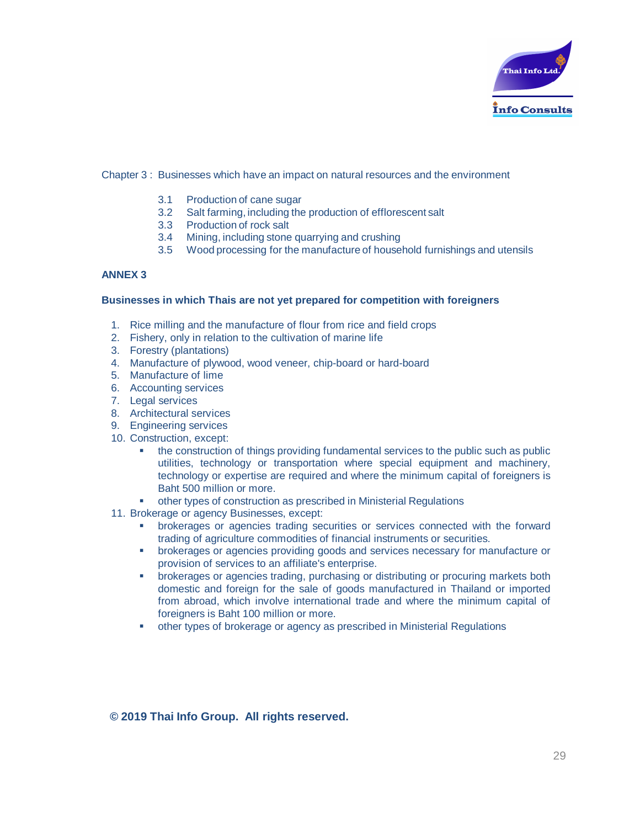

#### Chapter 3 : Businesses which have an impact on natural resources and the environment

- 3.1 Production of cane sugar
- 3.2 Salt farming, including the production of efflorescent salt
- 3.3 Production of rock salt
- 3.4 Mining, including stone quarrying and crushing
- 3.5 Wood processing for the manufacture of household furnishings and utensils

#### **ANNEX 3**

#### **Businesses in which Thais are not yet prepared for competition with foreigners**

- 1. Rice milling and the manufacture of flour from rice and field crops
- 2. Fishery, only in relation to the cultivation of marine life
- 3. Forestry (plantations)
- 4. Manufacture of plywood, wood veneer, chip-board or hard-board
- 5. Manufacture of lime
- 6. Accounting services
- 7. Legal services
- 8. Architectural services
- 9. Engineering services
- 10. Construction, except:
	- the construction of things providing fundamental services to the public such as public utilities, technology or transportation where special equipment and machinery, technology or expertise are required and where the minimum capital of foreigners is Baht 500 million or more.
	- § other types of construction as prescribed in Ministerial Regulations
- 11. Brokerage or agency Businesses, except:
	- § brokerages or agencies trading securities or services connected with the forward trading of agriculture commodities of financial instruments or securities.
	- § brokerages or agencies providing goods and services necessary for manufacture or provision of services to an affiliate's enterprise.
	- § brokerages or agencies trading, purchasing or distributing or procuring markets both domestic and foreign for the sale of goods manufactured in Thailand or imported from abroad, which involve international trade and where the minimum capital of foreigners is Baht 100 million or more.
	- other types of brokerage or agency as prescribed in Ministerial Regulations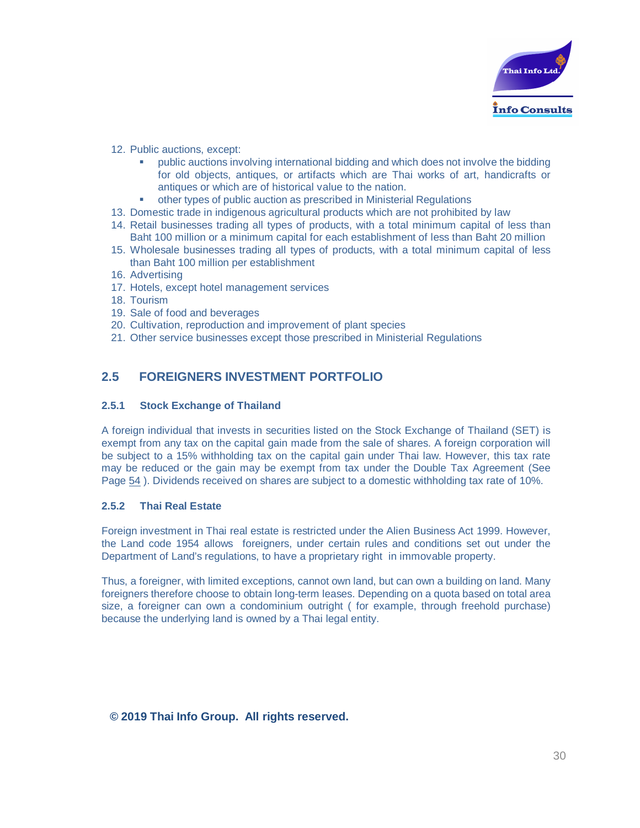

- 12. Public auctions, except:
	- § public auctions involving international bidding and which does not involve the bidding for old objects, antiques, or artifacts which are Thai works of art, handicrafts or antiques or which are of historical value to the nation.
	- other types of public auction as prescribed in Ministerial Regulations
- 13. Domestic trade in indigenous agricultural products which are not prohibited by law
- 14. Retail businesses trading all types of products, with a total minimum capital of less than Baht 100 million or a minimum capital for each establishment of less than Baht 20 million
- 15. Wholesale businesses trading all types of products, with a total minimum capital of less than Baht 100 million per establishment
- 16. Advertising
- 17. Hotels, except hotel management services
- 18. Tourism
- 19. Sale of food and beverages
- 20. Cultivation, reproduction and improvement of plant species
- 21. Other service businesses except those prescribed in Ministerial Regulations

# **2.5 FOREIGNERS INVESTMENT PORTFOLIO**

#### **2.5.1 Stock Exchange of Thailand**

A foreign individual that invests in securities listed on the Stock Exchange of Thailand (SET) is exempt from any tax on the capital gain made from the sale of shares. A foreign corporation will be subject to a 15% withholding tax on the capital gain under Thai law. However, this tax rate may be reduced or the gain may be exempt from tax under the Double Tax Agreement (See Page 54 ). Dividends received on shares are subject to a domestic withholding tax rate of 10%.

#### **2.5.2 Thai Real Estate**

Foreign investment in Thai real estate is restricted under the Alien Business Act 1999. However, the Land code 1954 allows foreigners, under certain rules and conditions set out under the Department of Land's regulations, to have a proprietary right in immovable property.

Thus, a foreigner, with limited exceptions, cannot own land, but can own a building on land. Many foreigners therefore choose to obtain long-term leases. Depending on a quota based on total area size, a foreigner can own a condominium outright ( for example, through freehold purchase) because the underlying land is owned by a Thai legal entity.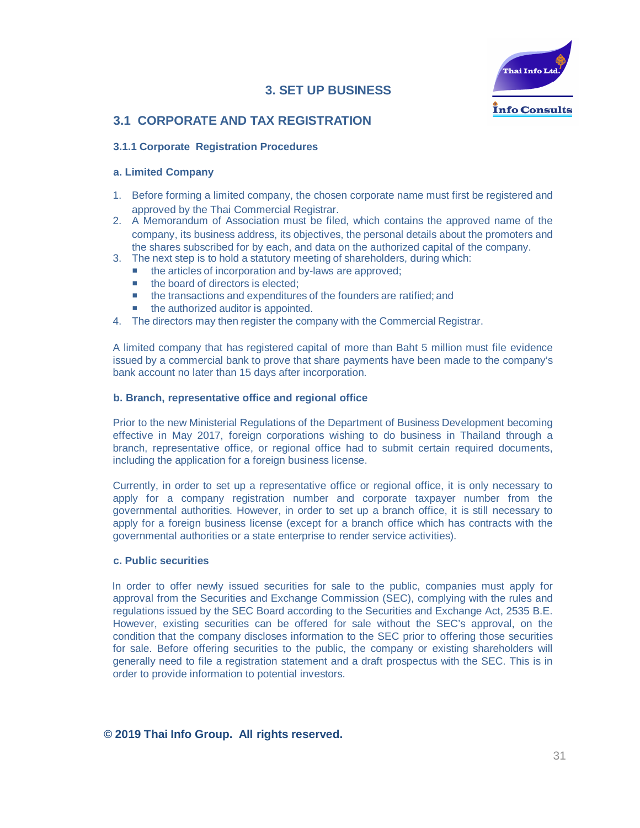# **3. SET UP BUSINESS**



# **3.1 CORPORATE AND TAX REGISTRATION**

#### **3.1.1 Corporate Registration Procedures**

#### **a. Limited Company**

- 1. Before forming a limited company, the chosen corporate name must first be registered and approved by the Thai Commercial Registrar.
- 2. A Memorandum of Association must be filed, which contains the approved name of the company, its business address, its objectives, the personal details about the promoters and the shares subscribed for by each, and data on the authorized capital of the company.
- 3. The next step is to hold a statutory meeting of shareholders, during which:
	- the articles of incorporation and by-laws are approved;
	- the board of directors is elected:
	- the transactions and expenditures of the founders are ratified; and
	- the authorized auditor is appointed.
- 4. The directors may then register the company with the Commercial Registrar.

A limited company that has registered capital of more than Baht 5 million must file evidence issued by a commercial bank to prove that share payments have been made to the company's bank account no later than 15 days after incorporation.

#### **b. Branch, representative office and regional office**

Prior to the new Ministerial Regulations of the Department of Business Development becoming effective in May 2017, foreign corporations wishing to do business in Thailand through a branch, representative office, or regional office had to submit certain required documents, including the application for a foreign business license.

Currently, in order to set up a representative office or regional office, it is only necessary to apply for a company registration number and corporate taxpayer number from the governmental authorities. However, in order to set up a branch office, it is still necessary to apply for a foreign business license (except for a branch office which has contracts with the governmental authorities or a state enterprise to render service activities).

#### **c. Public securities**

In order to offer newly issued securities for sale to the public, companies must apply for approval from the Securities and Exchange Commission (SEC), complying with the rules and regulations issued by the SEC Board according to the Securities and Exchange Act, 2535 B.E. However, existing securities can be offered for sale without the SEC's approval, on the condition that the company discloses information to the SEC prior to offering those securities for sale. Before offering securities to the public, the company or existing shareholders will generally need to file a registration statement and a draft prospectus with the SEC. This is in order to provide information to potential investors.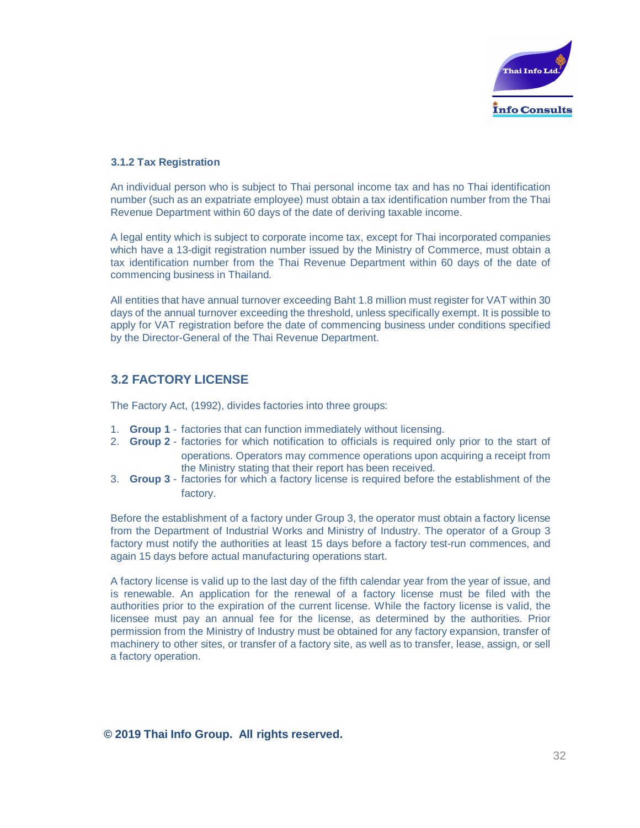

#### **3.1.2 Tax Registration**

An individual person who is subject to Thai personal income tax and has no Thai identification number (such as an expatriate employee) must obtain a tax identification number from the Thai Revenue Department within 60 days of the date of deriving taxable income.

A legal entity which is subject to corporate income tax, except for Thai incorporated companies which have a 13-digit registration number issued by the Ministry of Commerce, must obtain a tax identification number from the Thai Revenue Department within 60 days of the date of commencing business in Thailand.

All entities that have annual turnover exceeding Baht 1.8 million must register for VAT within 30 days of the annual turnover exceeding the threshold, unless specifically exempt. It is possible to apply for VAT registration before the date of commencing business under conditions specified by the Director-General of the Thai Revenue Department.

# **3.2 FACTORY LICENSE**

The Factory Act, (1992), divides factories into three groups:

- 1. **Group 1** factories that can function immediately without licensing.
- 2. **Group 2** factories for which notification to officials is required only prior to the start of operations. Operators may commence operations upon acquiring a receipt from the Ministry stating that their report has been received.
- 3. **Group 3** factories for which a factory license is required before the establishment of the factory.

Before the establishment of a factory under Group 3, the operator must obtain a factory license from the Department of Industrial Works and Ministry of Industry. The operator of a Group 3 factory must notify the authorities at least 15 days before a factory test-run commences, and again 15 days before actual manufacturing operations start.

A factory license is valid up to the last day of the fifth calendar year from the year of issue, and is renewable. An application for the renewal of a factory license must be filed with the authorities prior to the expiration of the current license. While the factory license is valid, the licensee must pay an annual fee for the license, as determined by the authorities. Prior permission from the Ministry of Industry must be obtained for any factory expansion, transfer of machinery to other sites, or transfer of a factory site, as well as to transfer, lease, assign, or sell a factory operation.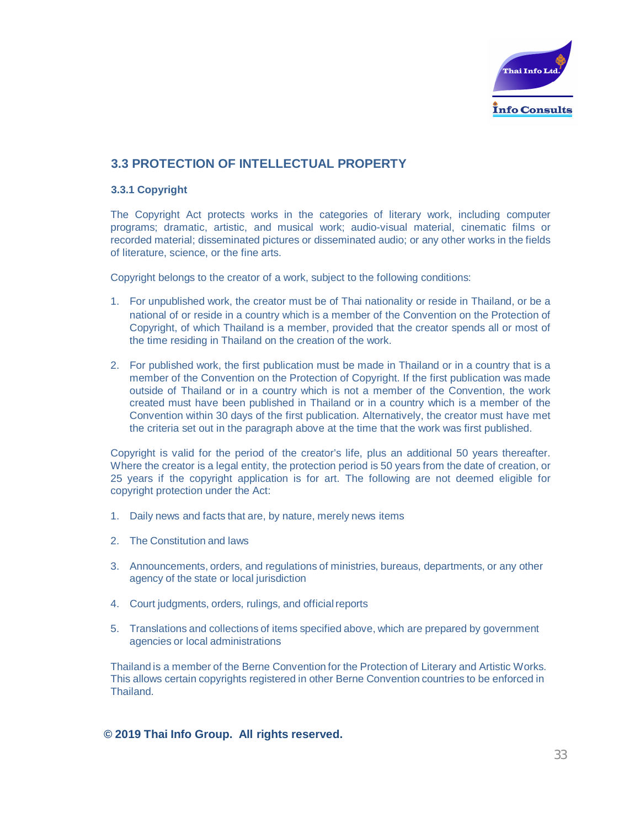

# **3.3 PROTECTION OF INTELLECTUAL PROPERTY**

#### **3.3.1 Copyright**

The Copyright Act protects works in the categories of literary work, including computer programs; dramatic, artistic, and musical work; audio-visual material, cinematic films or recorded material; disseminated pictures or disseminated audio; or any other works in the fields of literature, science, or the fine arts.

Copyright belongs to the creator of a work, subject to the following conditions:

- 1. For unpublished work, the creator must be of Thai nationality or reside in Thailand, or be a national of or reside in a country which is a member of the Convention on the Protection of Copyright, of which Thailand is a member, provided that the creator spends all or most of the time residing in Thailand on the creation of the work.
- 2. For published work, the first publication must be made in Thailand or in a country that is a member of the Convention on the Protection of Copyright. If the first publication was made outside of Thailand or in a country which is not a member of the Convention, the work created must have been published in Thailand or in a country which is a member of the Convention within 30 days of the first publication. Alternatively, the creator must have met the criteria set out in the paragraph above at the time that the work was first published.

Copyright is valid for the period of the creator's life, plus an additional 50 years thereafter. Where the creator is a legal entity, the protection period is 50 years from the date of creation, or 25 years if the copyright application is for art. The following are not deemed eligible for copyright protection under the Act:

- 1. Daily news and facts that are, by nature, merely news items
- 2. The Constitution and laws
- 3. Announcements, orders, and regulations of ministries, bureaus, departments, or any other agency of the state or local jurisdiction
- 4. Court judgments, orders, rulings, and official reports
- 5. Translations and collections of items specified above, which are prepared by government agencies or local administrations

Thailand is a member of the Berne Convention for the Protection of Literary and Artistic Works. This allows certain copyrights registered in other Berne Convention countries to be enforced in Thailand.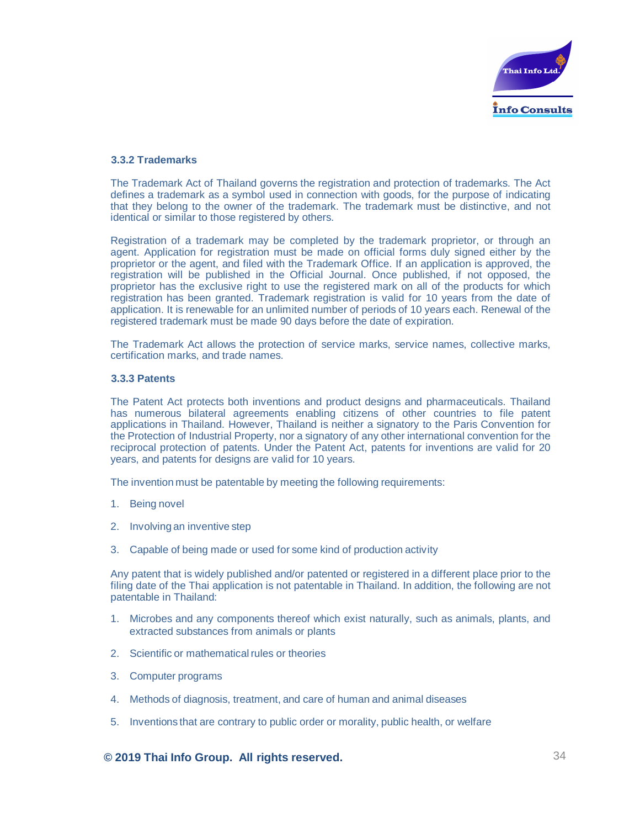

#### **3.3.2 Trademarks**

The Trademark Act of Thailand governs the registration and protection of trademarks. The Act defines a trademark as a symbol used in connection with goods, for the purpose of indicating that they belong to the owner of the trademark. The trademark must be distinctive, and not identical or similar to those registered by others.

Registration of a trademark may be completed by the trademark proprietor, or through an agent. Application for registration must be made on official forms duly signed either by the proprietor or the agent, and filed with the Trademark Office. If an application is approved, the registration will be published in the Official Journal. Once published, if not opposed, the proprietor has the exclusive right to use the registered mark on all of the products for which registration has been granted. Trademark registration is valid for 10 years from the date of application. It is renewable for an unlimited number of periods of 10 years each. Renewal of the registered trademark must be made 90 days before the date of expiration.

The Trademark Act allows the protection of service marks, service names, collective marks, certification marks, and trade names.

#### **3.3.3 Patents**

The Patent Act protects both inventions and product designs and pharmaceuticals. Thailand has numerous bilateral agreements enabling citizens of other countries to file patent applications in Thailand. However, Thailand is neither a signatory to the Paris Convention for the Protection of Industrial Property, nor a signatory of any other international convention for the reciprocal protection of patents. Under the Patent Act, patents for inventions are valid for 20 years, and patents for designs are valid for 10 years.

The invention must be patentable by meeting the following requirements:

- 1. Being novel
- 2. Involving an inventive step
- 3. Capable of being made or used for some kind of production activity

Any patent that is widely published and/or patented or registered in a different place prior to the filing date of the Thai application is not patentable in Thailand. In addition, the following are not patentable in Thailand:

- 1. Microbes and any components thereof which exist naturally, such as animals, plants, and extracted substances from animals or plants
- 2. Scientific or mathematical rules or theories
- 3. Computer programs
- 4. Methods of diagnosis, treatment, and care of human and animal diseases
- 5. Inventions that are contrary to public order or morality, public health, or welfare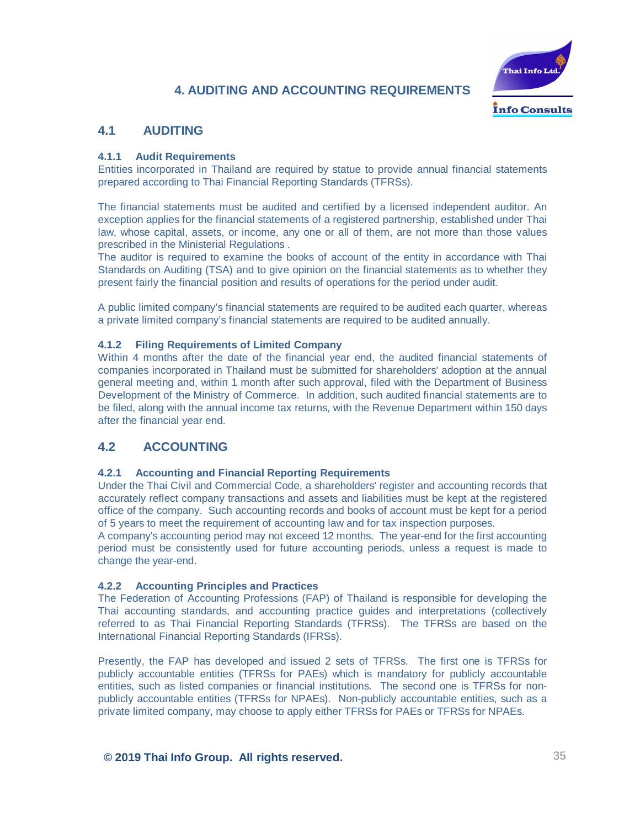# **4. AUDITING AND ACCOUNTING REQUIREMENTS**



# **4.1 AUDITING**

#### **4.1.1 Audit Requirements**

Entities incorporated in Thailand are required by statue to provide annual financial statements prepared according to Thai Financial Reporting Standards (TFRSs).

The financial statements must be audited and certified by a licensed independent auditor. An exception applies for the financial statements of a registered partnership, established under Thai law, whose capital, assets, or income, any one or all of them, are not more than those values prescribed in the Ministerial Regulations .

The auditor is required to examine the books of account of the entity in accordance with Thai Standards on Auditing (TSA) and to give opinion on the financial statements as to whether they present fairly the financial position and results of operations for the period under audit.

A public limited company's financial statements are required to be audited each quarter, whereas a private limited company's financial statements are required to be audited annually.

#### **4.1.2 Filing Requirements of Limited Company**

Within 4 months after the date of the financial year end, the audited financial statements of companies incorporated in Thailand must be submitted for shareholders' adoption at the annual general meeting and, within 1 month after such approval, filed with the Department of Business Development of the Ministry of Commerce. In addition, such audited financial statements are to be filed, along with the annual income tax returns, with the Revenue Department within 150 days after the financial year end.

# **4.2 ACCOUNTING**

#### **4.2.1 Accounting and Financial Reporting Requirements**

Under the Thai Civil and Commercial Code, a shareholders' register and accounting records that accurately reflect company transactions and assets and liabilities must be kept at the registered office of the company. Such accounting records and books of account must be kept for a period of 5 years to meet the requirement of accounting law and for tax inspection purposes.

A company's accounting period may not exceed 12 months. The year-end for the first accounting period must be consistently used for future accounting periods, unless a request is made to change the year-end.

#### **4.2.2 Accounting Principles and Practices**

The Federation of Accounting Professions (FAP) of Thailand is responsible for developing the Thai accounting standards, and accounting practice guides and interpretations (collectively referred to as Thai Financial Reporting Standards (TFRSs). The TFRSs are based on the International Financial Reporting Standards (IFRSs).

Presently, the FAP has developed and issued 2 sets of TFRSs. The first one is TFRSs for publicly accountable entities (TFRSs for PAEs) which is mandatory for publicly accountable entities, such as listed companies or financial institutions. The second one is TFRSs for nonpublicly accountable entities (TFRSs for NPAEs). Non-publicly accountable entities, such as a private limited company, may choose to apply either TFRSs for PAEs or TFRSs for NPAEs.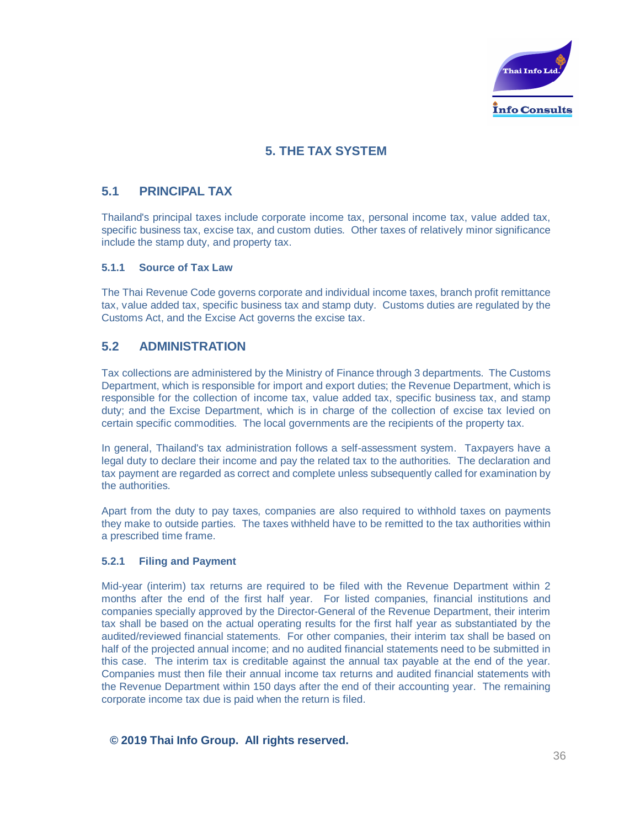

# **5. THE TAX SYSTEM**

# **5.1 PRINCIPAL TAX**

Thailand's principal taxes include corporate income tax, personal income tax, value added tax, specific business tax, excise tax, and custom duties. Other taxes of relatively minor significance include the stamp duty, and property tax.

#### **5.1.1 Source of Tax Law**

The Thai Revenue Code governs corporate and individual income taxes, branch profit remittance tax, value added tax, specific business tax and stamp duty. Customs duties are regulated by the Customs Act, and the Excise Act governs the excise tax.

# **5.2 ADMINISTRATION**

Tax collections are administered by the Ministry of Finance through 3 departments. The Customs Department, which is responsible for import and export duties; the Revenue Department, which is responsible for the collection of income tax, value added tax, specific business tax, and stamp duty; and the Excise Department, which is in charge of the collection of excise tax levied on certain specific commodities. The local governments are the recipients of the property tax.

In general, Thailand's tax administration follows a self-assessment system. Taxpayers have a legal duty to declare their income and pay the related tax to the authorities. The declaration and tax payment are regarded as correct and complete unless subsequently called for examination by the authorities.

Apart from the duty to pay taxes, companies are also required to withhold taxes on payments they make to outside parties. The taxes withheld have to be remitted to the tax authorities within a prescribed time frame.

#### **5.2.1 Filing and Payment**

Mid-year (interim) tax returns are required to be filed with the Revenue Department within 2 months after the end of the first half year. For listed companies, financial institutions and companies specially approved by the Director-General of the Revenue Department, their interim tax shall be based on the actual operating results for the first half year as substantiated by the audited/reviewed financial statements. For other companies, their interim tax shall be based on half of the projected annual income; and no audited financial statements need to be submitted in this case. The interim tax is creditable against the annual tax payable at the end of the year. Companies must then file their annual income tax returns and audited financial statements with the Revenue Department within 150 days after the end of their accounting year. The remaining corporate income tax due is paid when the return is filed.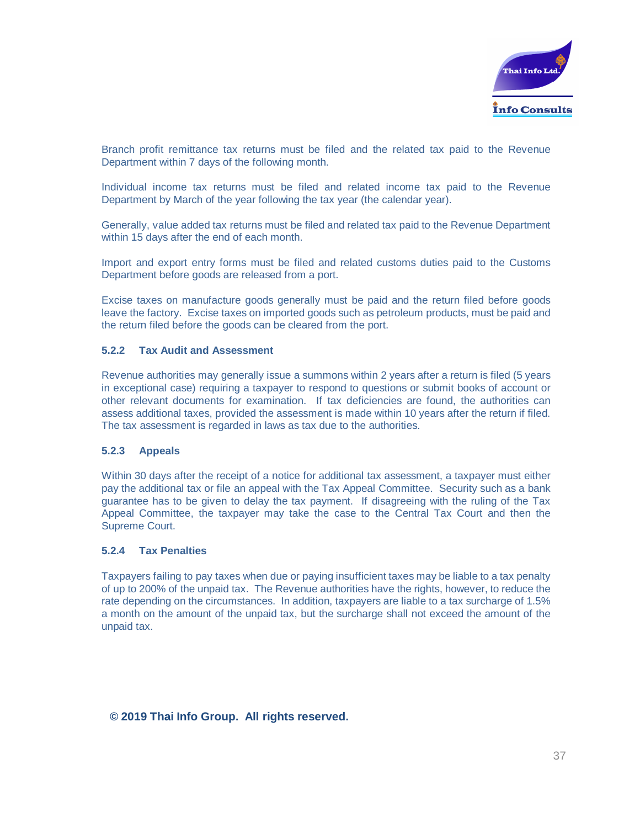

Branch profit remittance tax returns must be filed and the related tax paid to the Revenue Department within 7 days of the following month.

Individual income tax returns must be filed and related income tax paid to the Revenue Department by March of the year following the tax year (the calendar year).

Generally, value added tax returns must be filed and related tax paid to the Revenue Department within 15 days after the end of each month.

Import and export entry forms must be filed and related customs duties paid to the Customs Department before goods are released from a port.

Excise taxes on manufacture goods generally must be paid and the return filed before goods leave the factory. Excise taxes on imported goods such as petroleum products, must be paid and the return filed before the goods can be cleared from the port.

#### **5.2.2 Tax Audit and Assessment**

Revenue authorities may generally issue a summons within 2 years after a return is filed (5 years in exceptional case) requiring a taxpayer to respond to questions or submit books of account or other relevant documents for examination. If tax deficiencies are found, the authorities can assess additional taxes, provided the assessment is made within 10 years after the return if filed. The tax assessment is regarded in laws as tax due to the authorities.

#### **5.2.3 Appeals**

Within 30 days after the receipt of a notice for additional tax assessment, a taxpayer must either pay the additional tax or file an appeal with the Tax Appeal Committee. Security such as a bank guarantee has to be given to delay the tax payment. If disagreeing with the ruling of the Tax Appeal Committee, the taxpayer may take the case to the Central Tax Court and then the Supreme Court.

#### **5.2.4 Tax Penalties**

Taxpayers failing to pay taxes when due or paying insufficient taxes may be liable to a tax penalty of up to 200% of the unpaid tax. The Revenue authorities have the rights, however, to reduce the rate depending on the circumstances. In addition, taxpayers are liable to a tax surcharge of 1.5% a month on the amount of the unpaid tax, but the surcharge shall not exceed the amount of the unpaid tax.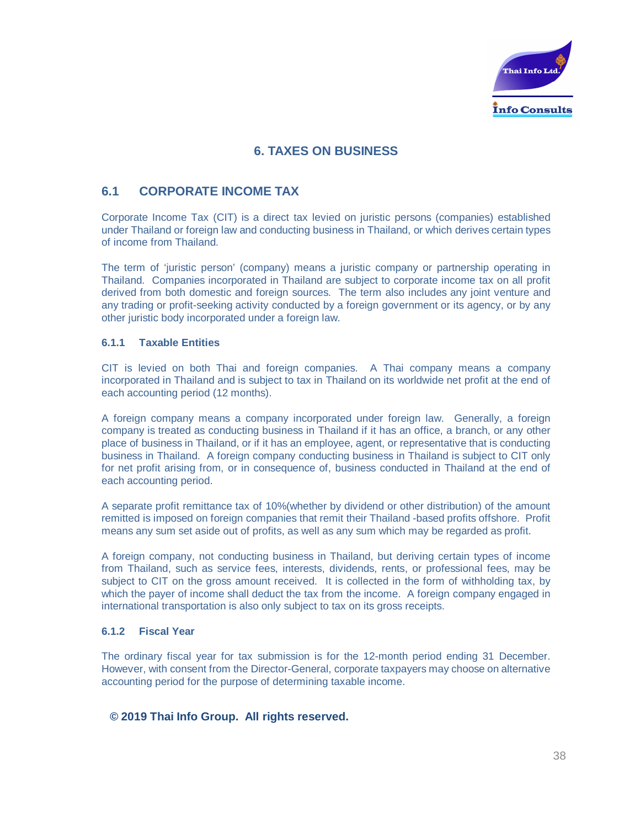

# **6. TAXES ON BUSINESS**

# **6.1 CORPORATE INCOME TAX**

Corporate Income Tax (CIT) is a direct tax levied on juristic persons (companies) established under Thailand or foreign law and conducting business in Thailand, or which derives certain types of income from Thailand.

The term of 'juristic person' (company) means a juristic company or partnership operating in Thailand. Companies incorporated in Thailand are subject to corporate income tax on all profit derived from both domestic and foreign sources. The term also includes any joint venture and any trading or profit-seeking activity conducted by a foreign government or its agency, or by any other juristic body incorporated under a foreign law.

#### **6.1.1 Taxable Entities**

CIT is levied on both Thai and foreign companies. A Thai company means a company incorporated in Thailand and is subject to tax in Thailand on its worldwide net profit at the end of each accounting period (12 months).

A foreign company means a company incorporated under foreign law. Generally, a foreign company is treated as conducting business in Thailand if it has an office, a branch, or any other place of business in Thailand, or if it has an employee, agent, or representative that is conducting business in Thailand. A foreign company conducting business in Thailand is subject to CIT only for net profit arising from, or in consequence of, business conducted in Thailand at the end of each accounting period.

A separate profit remittance tax of 10%(whether by dividend or other distribution) of the amount remitted is imposed on foreign companies that remit their Thailand -based profits offshore. Profit means any sum set aside out of profits, as well as any sum which may be regarded as profit.

A foreign company, not conducting business in Thailand, but deriving certain types of income from Thailand, such as service fees, interests, dividends, rents, or professional fees, may be subject to CIT on the gross amount received. It is collected in the form of withholding tax, by which the payer of income shall deduct the tax from the income. A foreign company engaged in international transportation is also only subject to tax on its gross receipts.

#### **6.1.2 Fiscal Year**

The ordinary fiscal year for tax submission is for the 12-month period ending 31 December. However, with consent from the Director-General, corporate taxpayers may choose on alternative accounting period for the purpose of determining taxable income.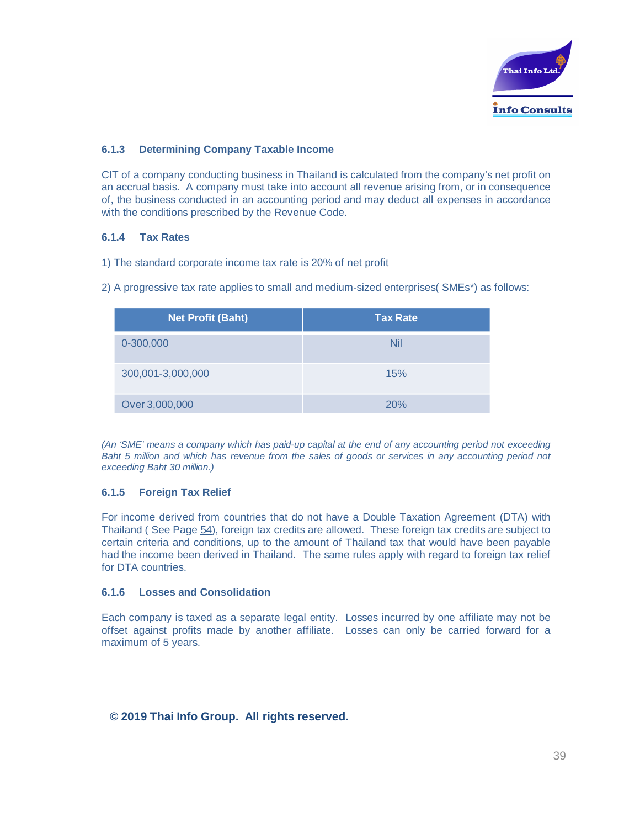

#### **6.1.3 Determining Company Taxable Income**

CIT of a company conducting business in Thailand is calculated from the company's net profit on an accrual basis. A company must take into account all revenue arising from, or in consequence of, the business conducted in an accounting period and may deduct all expenses in accordance with the conditions prescribed by the Revenue Code.

#### **6.1.4 Tax Rates**

- 1) The standard corporate income tax rate is 20% of net profit
- 2) A progressive tax rate applies to small and medium-sized enterprises( SMEs\*) as follows:

| <b>Net Profit (Baht)</b> | <b>Tax Rate</b> |
|--------------------------|-----------------|
| 0-300,000                | Nil             |
| 300,001-3,000,000        | 15%             |
| Over 3,000,000           | 20%             |

*(An 'SME' means a company which has paid-up capital at the end of any accounting period not exceeding Baht 5 million and which has revenue from the sales of goods or services in any accounting period not exceeding Baht 30 million.)*

#### **6.1.5 Foreign Tax Relief**

For income derived from countries that do not have a Double Taxation Agreement (DTA) with Thailand ( See Page 54), foreign tax credits are allowed. These foreign tax credits are subject to certain criteria and conditions, up to the amount of Thailand tax that would have been payable had the income been derived in Thailand. The same rules apply with regard to foreign tax relief for DTA countries.

#### **6.1.6 Losses and Consolidation**

Each company is taxed as a separate legal entity. Losses incurred by one affiliate may not be offset against profits made by another affiliate. Losses can only be carried forward for a maximum of 5 years.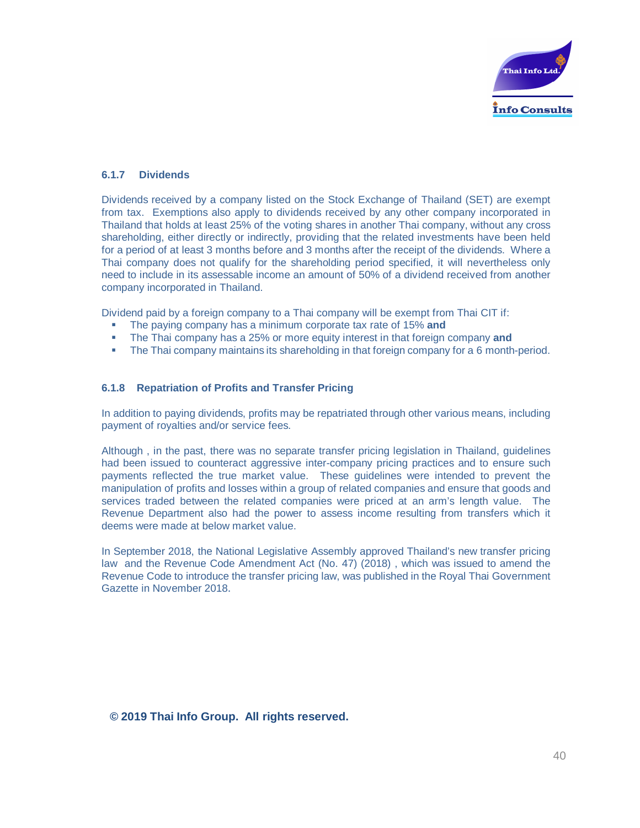

#### **6.1.7 Dividends**

Dividends received by a company listed on the Stock Exchange of Thailand (SET) are exempt from tax. Exemptions also apply to dividends received by any other company incorporated in Thailand that holds at least 25% of the voting shares in another Thai company, without any cross shareholding, either directly or indirectly, providing that the related investments have been held for a period of at least 3 months before and 3 months after the receipt of the dividends. Where a Thai company does not qualify for the shareholding period specified, it will nevertheless only need to include in its assessable income an amount of 50% of a dividend received from another company incorporated in Thailand.

Dividend paid by a foreign company to a Thai company will be exempt from Thai CIT if:

- The paying company has a minimum corporate tax rate of 15% and
- **•** The Thai company has a 25% or more equity interest in that foreign company and
- The Thai company maintains its shareholding in that foreign company for a 6 month-period.

#### **6.1.8 Repatriation of Profits and Transfer Pricing**

In addition to paying dividends, profits may be repatriated through other various means, including payment of royalties and/or service fees.

Although , in the past, there was no separate transfer pricing legislation in Thailand, guidelines had been issued to counteract aggressive inter-company pricing practices and to ensure such payments reflected the true market value. These guidelines were intended to prevent the manipulation of profits and losses within a group of related companies and ensure that goods and services traded between the related companies were priced at an arm's length value. The Revenue Department also had the power to assess income resulting from transfers which it deems were made at below market value.

In September 2018, the National Legislative Assembly approved Thailand's new transfer pricing law and the Revenue Code Amendment Act (No. 47) (2018) , which was issued to amend the Revenue Code to introduce the transfer pricing law, was published in the Royal Thai Government Gazette in November 2018.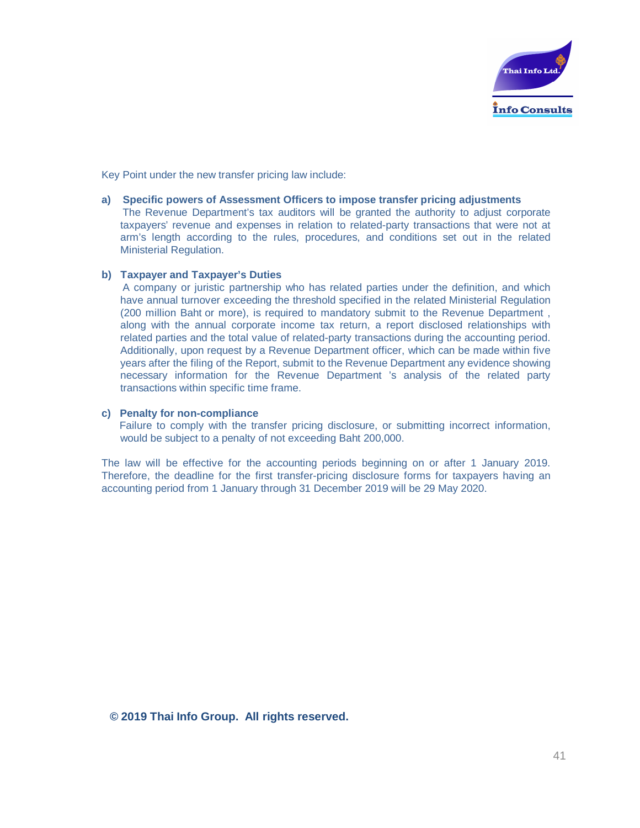

Key Point under the new transfer pricing law include:

#### **a) Specific powers of Assessment Officers to impose transfer pricing adjustments**

The Revenue Department's tax auditors will be granted the authority to adjust corporate taxpayers' revenue and expenses in relation to related-party transactions that were not at arm's length according to the rules, procedures, and conditions set out in the related Ministerial Regulation.

#### **b) Taxpayer and Taxpayer's Duties**

A company or juristic partnership who has related parties under the definition, and which have annual turnover exceeding the threshold specified in the related Ministerial Regulation (200 million Baht or more), is required to mandatory submit to the Revenue Department , along with the annual corporate income tax return, a report disclosed relationships with related parties and the total value of related-party transactions during the accounting period. Additionally, upon request by a Revenue Department officer, which can be made within five years after the filing of the Report, submit to the Revenue Department any evidence showing necessary information for the Revenue Department 's analysis of the related party transactions within specific time frame.

#### **c) Penalty for non-compliance**

Failure to comply with the transfer pricing disclosure, or submitting incorrect information, would be subject to a penalty of not exceeding Baht 200,000.

The law will be effective for the accounting periods beginning on or after 1 January 2019. Therefore, the deadline for the first transfer-pricing disclosure forms for taxpayers having an accounting period from 1 January through 31 December 2019 will be 29 May 2020.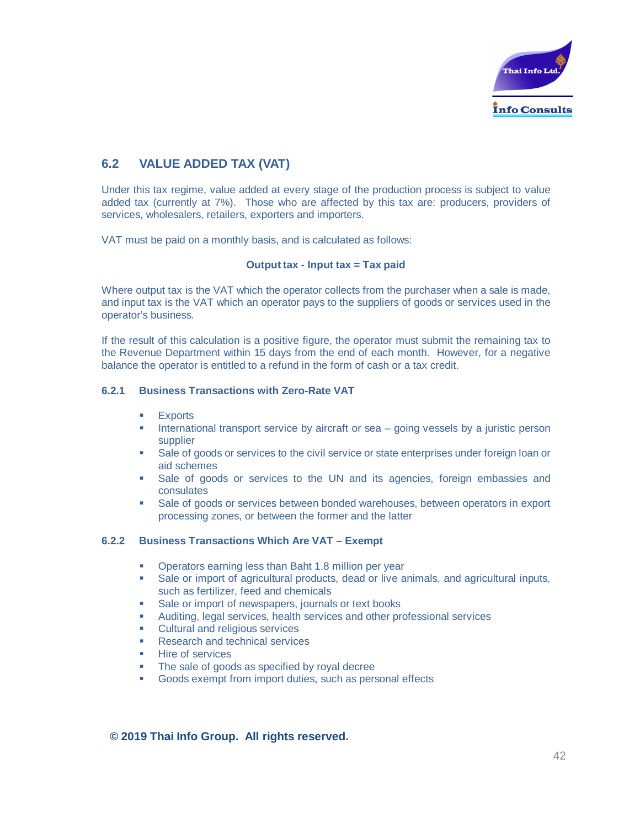

# **6.2 VALUE ADDED TAX (VAT)**

Under this tax regime, value added at every stage of the production process is subject to value added tax (currently at 7%). Those who are affected by this tax are: producers, providers of services, wholesalers, retailers, exporters and importers.

VAT must be paid on a monthly basis, and is calculated as follows:

#### **Output tax - Input tax = Tax paid**

Where output tax is the VAT which the operator collects from the purchaser when a sale is made, and input tax is the VAT which an operator pays to the suppliers of goods or services used in the operator's business.

If the result of this calculation is a positive figure, the operator must submit the remaining tax to the Revenue Department within 15 days from the end of each month. However, for a negative balance the operator is entitled to a refund in the form of cash or a tax credit.

#### **6.2.1 Business Transactions with Zero-Rate VAT**

- **Exports**
- International transport service by aircraft or sea  $-$  going vessels by a juristic person supplier
- Sale of goods or services to the civil service or state enterprises under foreign loan or aid schemes
- § Sale of goods or services to the UN and its agencies, foreign embassies and consulates
- Sale of goods or services between bonded warehouses, between operators in export processing zones, or between the former and the latter

#### **6.2.2 Business Transactions Which Are VAT – Exempt**

- § Operators earning less than Baht 1.8 million per year
- Sale or import of agricultural products, dead or live animals, and agricultural inputs, such as fertilizer, feed and chemicals
- Sale or import of newspapers, journals or text books
- § Auditing, legal services, health services and other professional services
- § Cultural and religious services
- **Research and technical services**
- § Hire of services
- The sale of goods as specified by royal decree
- § Goods exempt from import duties, such as personal effects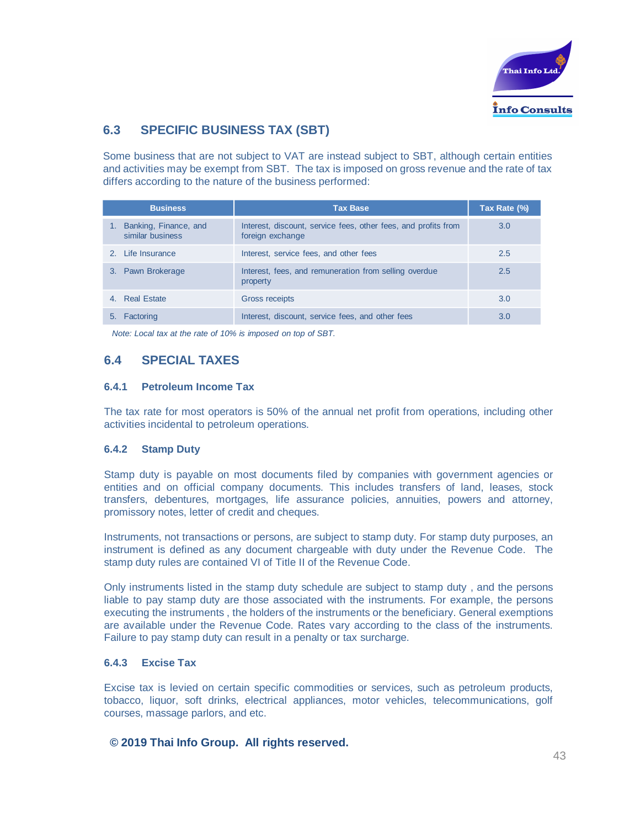

# **6.3 SPECIFIC BUSINESS TAX (SBT)**

Some business that are not subject to VAT are instead subject to SBT, although certain entities and activities may be exempt from SBT. The tax is imposed on gross revenue and the rate of tax differs according to the nature of the business performed:

|    | <b>Business</b>                           | <b>Tax Base</b>                                                                    | Tax Rate (%) |
|----|-------------------------------------------|------------------------------------------------------------------------------------|--------------|
|    | Banking, Finance, and<br>similar business | Interest, discount, service fees, other fees, and profits from<br>foreign exchange | 3.0          |
|    | 2. Life Insurance                         | Interest, service fees, and other fees                                             | 2.5          |
|    | 3. Pawn Brokerage                         | Interest, fees, and remuneration from selling overdue<br>property                  | 2.5          |
|    | 4. Real Estate                            | Gross receipts                                                                     | 3.0          |
| 5. | Factoring                                 | Interest, discount, service fees, and other fees                                   | 3.0          |

*Note: Local tax at the rate of 10% is imposed on top of SBT.*

# **6.4 SPECIAL TAXES**

#### **6.4.1 Petroleum Income Tax**

The tax rate for most operators is 50% of the annual net profit from operations, including other activities incidental to petroleum operations.

#### **6.4.2 Stamp Duty**

Stamp duty is payable on most documents filed by companies with government agencies or entities and on official company documents. This includes transfers of land, leases, stock transfers, debentures, mortgages, life assurance policies, annuities, powers and attorney, promissory notes, letter of credit and cheques.

Instruments, not transactions or persons, are subject to stamp duty. For stamp duty purposes, an instrument is defined as any document chargeable with duty under the Revenue Code. The stamp duty rules are contained VI of Title II of the Revenue Code.

Only instruments listed in the stamp duty schedule are subject to stamp duty , and the persons liable to pay stamp duty are those associated with the instruments. For example, the persons executing the instruments , the holders of the instruments or the beneficiary. General exemptions are available under the Revenue Code. Rates vary according to the class of the instruments. Failure to pay stamp duty can result in a penalty or tax surcharge.

#### **6.4.3 Excise Tax**

Excise tax is levied on certain specific commodities or services, such as petroleum products, tobacco, liquor, soft drinks, electrical appliances, motor vehicles, telecommunications, golf courses, massage parlors, and etc.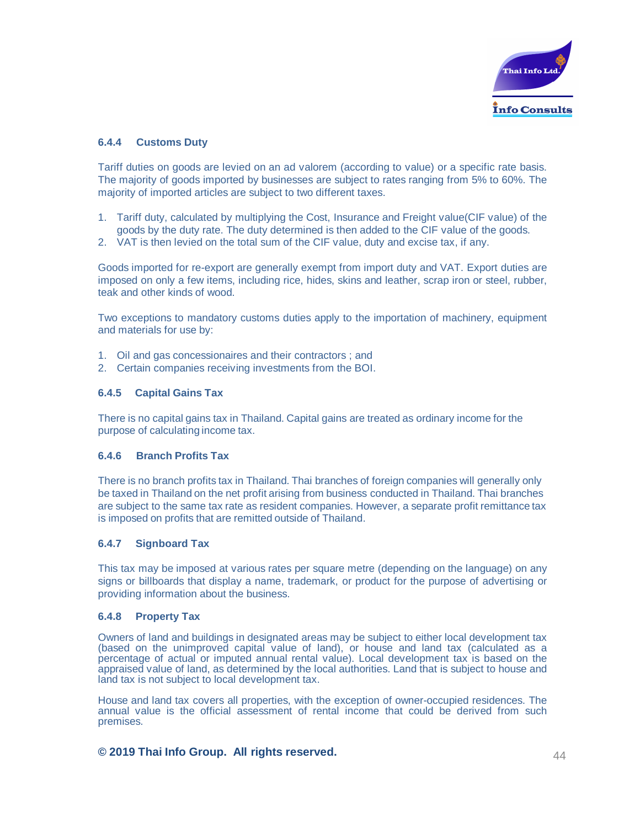

#### **6.4.4 Customs Duty**

Tariff duties on goods are levied on an ad valorem (according to value) or a specific rate basis. The majority of goods imported by businesses are subject to rates ranging from 5% to 60%. The majority of imported articles are subject to two different taxes.

- 1. Tariff duty, calculated by multiplying the Cost, Insurance and Freight value(CIF value) of the goods by the duty rate. The duty determined is then added to the CIF value of the goods.
- 2. VAT is then levied on the total sum of the CIF value, duty and excise tax, if any.

Goods imported for re-export are generally exempt from import duty and VAT. Export duties are imposed on only a few items, including rice, hides, skins and leather, scrap iron or steel, rubber, teak and other kinds of wood.

Two exceptions to mandatory customs duties apply to the importation of machinery, equipment and materials for use by:

- 1. Oil and gas concessionaires and their contractors ; and
- 2. Certain companies receiving investments from the BOI.

#### **6.4.5 Capital Gains Tax**

There is no capital gains tax in Thailand. Capital gains are treated as ordinary income for the purpose of calculating income tax.

#### **6.4.6 Branch Profits Tax**

There is no branch profits tax in Thailand. Thai branches of foreign companies will generally only be taxed in Thailand on the net profit arising from business conducted in Thailand. Thai branches are subject to the same tax rate as resident companies. However, a separate profit remittance tax is imposed on profits that are remitted outside of Thailand.

#### **6.4.7 Signboard Tax**

This tax may be imposed at various rates per square metre (depending on the language) on any signs or billboards that display a name, trademark, or product for the purpose of advertising or providing information about the business.

#### **6.4.8 Property Tax**

Owners of land and buildings in designated areas may be subject to either local development tax (based on the unimproved capital value of land), or house and land tax (calculated as a percentage of actual or imputed annual rental value). Local development tax is based on the appraised value of land, as determined by the local authorities. Land that is subject to house and land tax is not subject to local development tax.

House and land tax covers all properties, with the exception of owner-occupied residences. The annual value is the official assessment of rental income that could be derived from such premises.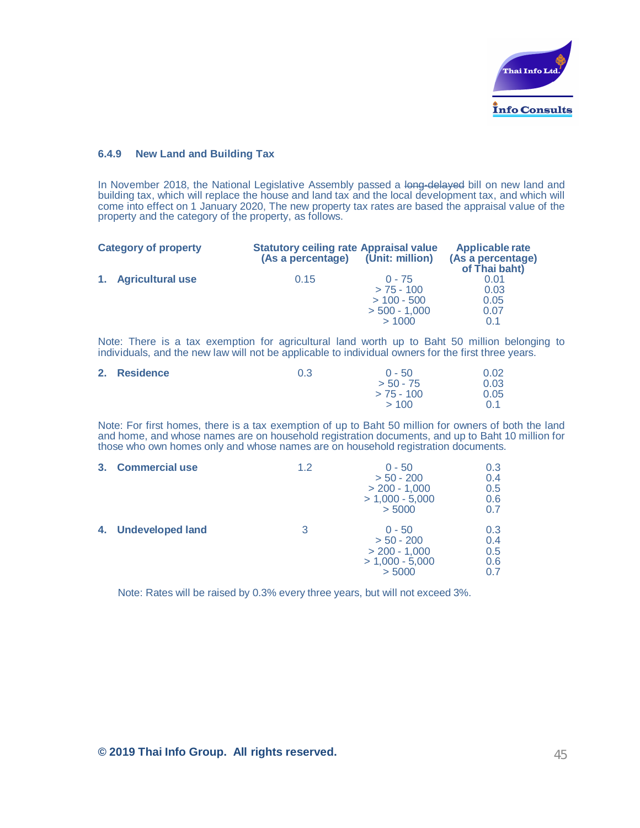

#### **6.4.9 New Land and Building Tax**

In November 2018, the National Legislative Assembly passed a long-delayed bill on new land and building tax, which will replace the house and land tax and the local development tax, and which will come into effect on 1 January 2020, The new property tax rates are based the appraisal value of the property and the category of the property, as follows.

| <b>Statutory ceiling rate Appraisal value</b><br>(As a percentage) |                                  | <b>Applicable rate</b><br>(As a percentage)<br>of Thai baht) |  |
|--------------------------------------------------------------------|----------------------------------|--------------------------------------------------------------|--|
| 0.15                                                               | $0 - 75$<br>$> 75 - 100$         | 0.01<br>0.03                                                 |  |
|                                                                    | $> 100 - 500$<br>$>$ 500 - 1.000 | 0.05<br>0.07<br>0.1                                          |  |
|                                                                    |                                  | (Unit: million)<br>>1000                                     |  |

Note: There is a tax exemption for agricultural land worth up to Baht 50 million belonging to individuals, and the new law will not be applicable to individual owners for the first three years.

| 2. Residence | 0.3 | $0 - 50$     | 0.02 |
|--------------|-----|--------------|------|
|              |     | $> 50 - 75$  | 0.03 |
|              |     | $> 75 - 100$ | 0.05 |
|              |     | >100         | 0.1  |

Note: For first homes, there is a tax exemption of up to Baht 50 million for owners of both the land and home, and whose names are on household registration documents, and up to Baht 10 million for those who own homes only and whose names are on household registration documents.

| 3. | <b>Commercial use</b> | 1.2 | $0 - 50$<br>$> 50 - 200$<br>$> 200 - 1,000$<br>$> 1,000 - 5,000$<br>> 5000 | 0.3<br>0.4<br>0.5<br>0.6<br>0.7 |
|----|-----------------------|-----|----------------------------------------------------------------------------|---------------------------------|
|    | 4. Undeveloped land   | 3   | $0 - 50$<br>$> 50 - 200$<br>$> 200 - 1,000$<br>$> 1,000 - 5,000$<br>> 5000 | 0.3<br>0.4<br>0.5<br>0.6<br>ი 7 |

Note: Rates will be raised by 0.3% every three years, but will not exceed 3%.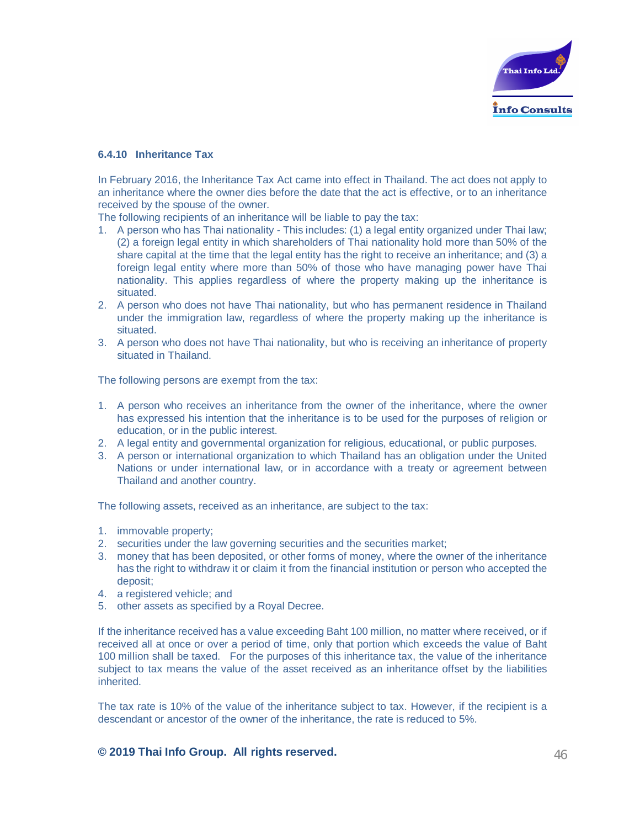

#### **6.4.10 Inheritance Tax**

In February 2016, the Inheritance Tax Act came into effect in Thailand. The act does not apply to an inheritance where the owner dies before the date that the act is effective, or to an inheritance received by the spouse of the owner.

The following recipients of an inheritance will be liable to pay the tax:

- 1. A person who has Thai nationality This includes: (1) a legal entity organized under Thai law; (2) a foreign legal entity in which shareholders of Thai nationality hold more than 50% of the share capital at the time that the legal entity has the right to receive an inheritance; and (3) a foreign legal entity where more than 50% of those who have managing power have Thai nationality. This applies regardless of where the property making up the inheritance is situated.
- 2. A person who does not have Thai nationality, but who has permanent residence in Thailand under the immigration law, regardless of where the property making up the inheritance is situated.
- 3. A person who does not have Thai nationality, but who is receiving an inheritance of property situated in Thailand.

The following persons are exempt from the tax:

- 1. A person who receives an inheritance from the owner of the inheritance, where the owner has expressed his intention that the inheritance is to be used for the purposes of religion or education, or in the public interest.
- 2. A legal entity and governmental organization for religious, educational, or public purposes.
- 3. A person or international organization to which Thailand has an obligation under the United Nations or under international law, or in accordance with a treaty or agreement between Thailand and another country.

The following assets, received as an inheritance, are subject to the tax:

- 1. immovable property;
- 2. securities under the law governing securities and the securities market;
- 3. money that has been deposited, or other forms of money, where the owner of the inheritance has the right to withdraw it or claim it from the financial institution or person who accepted the deposit;
- 4. a registered vehicle; and
- 5. other assets as specified by a Royal Decree.

If the inheritance received has a value exceeding Baht 100 million, no matter where received, or if received all at once or over a period of time, only that portion which exceeds the value of Baht 100 million shall be taxed. For the purposes of this inheritance tax, the value of the inheritance subject to tax means the value of the asset received as an inheritance offset by the liabilities inherited.

The tax rate is 10% of the value of the inheritance subject to tax. However, if the recipient is a descendant or ancestor of the owner of the inheritance, the rate is reduced to 5%.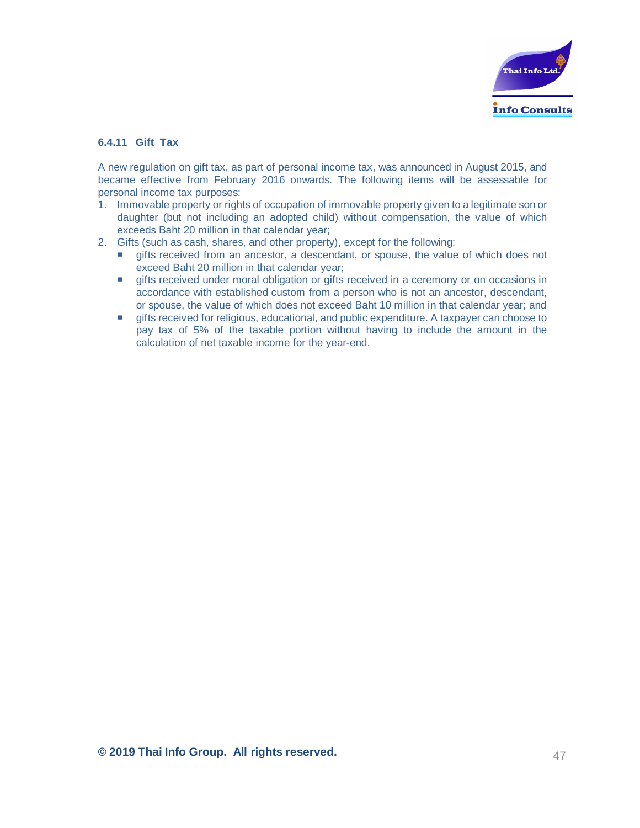

#### **6.4.11 Gift Tax**

A new regulation on gift tax, as part of personal income tax, was announced in August 2015, and became effective from February 2016 onwards. The following items will be assessable for personal income tax purposes:

- 1. Immovable property or rights of occupation of immovable property given to a legitimate son or daughter (but not including an adopted child) without compensation, the value of which exceeds Baht 20 million in that calendar year;
- 2. Gifts (such as cash, shares, and other property), except for the following:
	- **Example 3** gifts received from an ancestor, a descendant, or spouse, the value of which does not exceed Baht 20 million in that calendar year;
	- **EXECT** gifts received under moral obligation or gifts received in a ceremony or on occasions in accordance with established custom from a person who is not an ancestor, descendant, or spouse, the value of which does not exceed Baht 10 million in that calendar year; and
	- **The gifts received for religious, educational, and public expenditure. A taxpayer can choose to** pay tax of 5% of the taxable portion without having to include the amount in the calculation of net taxable income for the year-end.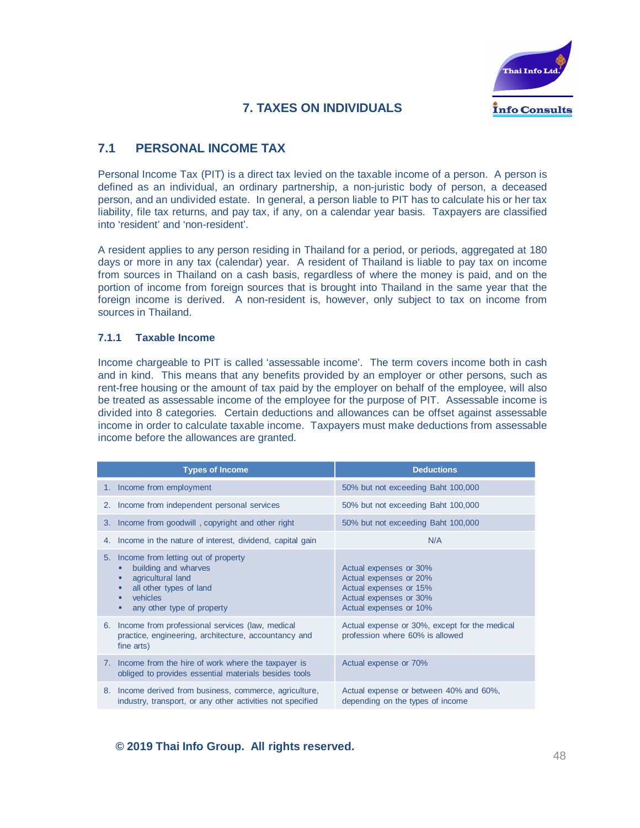

# **7. TAXES ON INDIVIDUALS**

# **7.1 PERSONAL INCOME TAX**

Personal Income Tax (PIT) is a direct tax levied on the taxable income of a person. A person is defined as an individual, an ordinary partnership, a non-juristic body of person, a deceased person, and an undivided estate. In general, a person liable to PIT has to calculate his or her tax liability, file tax returns, and pay tax, if any, on a calendar year basis. Taxpayers are classified into 'resident' and 'non-resident'.

A resident applies to any person residing in Thailand for a period, or periods, aggregated at 180 days or more in any tax (calendar) year. A resident of Thailand is liable to pay tax on income from sources in Thailand on a cash basis, regardless of where the money is paid, and on the portion of income from foreign sources that is brought into Thailand in the same year that the foreign income is derived. A non-resident is, however, only subject to tax on income from sources in Thailand.

#### **7.1.1 Taxable Income**

Income chargeable to PIT is called 'assessable income'. The term covers income both in cash and in kind. This means that any benefits provided by an employer or other persons, such as rent-free housing or the amount of tax paid by the employer on behalf of the employee, will also be treated as assessable income of the employee for the purpose of PIT. Assessable income is divided into 8 categories. Certain deductions and allowances can be offset against assessable income in order to calculate taxable income. Taxpayers must make deductions from assessable income before the allowances are granted.

|    | <b>Types of Income</b>                                                                                                                                                  | <b>Deductions</b>                                                                                                              |
|----|-------------------------------------------------------------------------------------------------------------------------------------------------------------------------|--------------------------------------------------------------------------------------------------------------------------------|
|    | 1. Income from employment                                                                                                                                               | 50% but not exceeding Baht 100,000                                                                                             |
|    | 2. Income from independent personal services                                                                                                                            | 50% but not exceeding Baht 100,000                                                                                             |
| 3. | Income from goodwill, copyright and other right                                                                                                                         | 50% but not exceeding Baht 100,000                                                                                             |
| 4. | Income in the nature of interest, dividend, capital gain                                                                                                                | N/A                                                                                                                            |
|    | 5. Income from letting out of property<br>building and wharves<br>agricultural land<br>all other types of land<br>п<br>vehicles<br>п<br>any other type of property<br>п | Actual expenses or 30%<br>Actual expenses or 20%<br>Actual expenses or 15%<br>Actual expenses or 30%<br>Actual expenses or 10% |
|    | 6. Income from professional services (law, medical<br>practice, engineering, architecture, accountancy and<br>fine arts)                                                | Actual expense or 30%, except for the medical<br>profession where 60% is allowed                                               |
|    | 7. Income from the hire of work where the taxpayer is<br>obliged to provides essential materials besides tools                                                          | Actual expense or 70%                                                                                                          |
|    | 8. Income derived from business, commerce, agriculture,<br>industry, transport, or any other activities not specified                                                   | Actual expense or between 40% and 60%,<br>depending on the types of income                                                     |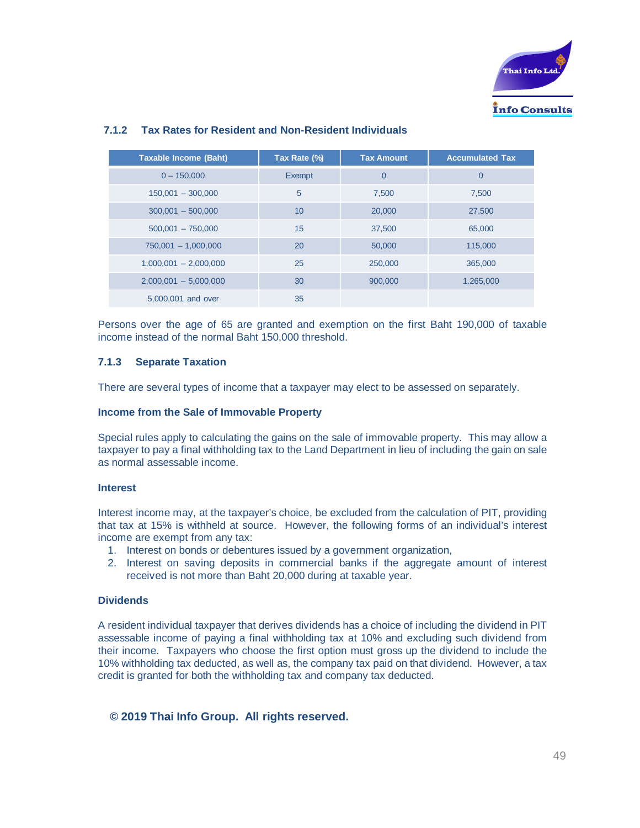

| <b>Taxable Income (Baht)</b> | Tax Rate (%) | <b>Tax Amount</b> | <b>Accumulated Tax</b> |
|------------------------------|--------------|-------------------|------------------------|
| $0 - 150,000$                | Exempt       | $\overline{0}$    | $\overline{0}$         |
| $150,001 - 300,000$          | 5            | 7,500             | 7.500                  |
| $300,001 - 500,000$          | 10           | 20,000            | 27,500                 |
| $500,001 - 750,000$          | 15           | 37,500            | 65,000                 |
| $750,001 - 1,000,000$        | 20           | 50,000            | 115,000                |
| $1,000,001 - 2,000,000$      | 25           | 250,000           | 365,000                |
| $2,000,001 - 5,000,000$      | 30           | 900,000           | 1.265,000              |
| 5,000,001 and over           | 35           |                   |                        |

#### **7.1.2 Tax Rates for Resident and Non-Resident Individuals**

Persons over the age of 65 are granted and exemption on the first Baht 190,000 of taxable income instead of the normal Baht 150,000 threshold.

#### **7.1.3 Separate Taxation**

There are several types of income that a taxpayer may elect to be assessed on separately.

#### **Income from the Sale of Immovable Property**

Special rules apply to calculating the gains on the sale of immovable property. This may allow a taxpayer to pay a final withholding tax to the Land Department in lieu of including the gain on sale as normal assessable income.

#### **Interest**

Interest income may, at the taxpayer's choice, be excluded from the calculation of PIT, providing that tax at 15% is withheld at source. However, the following forms of an individual's interest income are exempt from any tax:

- 1. Interest on bonds or debentures issued by a government organization,
- 2. Interest on saving deposits in commercial banks if the aggregate amount of interest received is not more than Baht 20,000 during at taxable year.

#### **Dividends**

A resident individual taxpayer that derives dividends has a choice of including the dividend in PIT assessable income of paying a final withholding tax at 10% and excluding such dividend from their income. Taxpayers who choose the first option must gross up the dividend to include the 10% withholding tax deducted, as well as, the company tax paid on that dividend. However, a tax credit is granted for both the withholding tax and company tax deducted.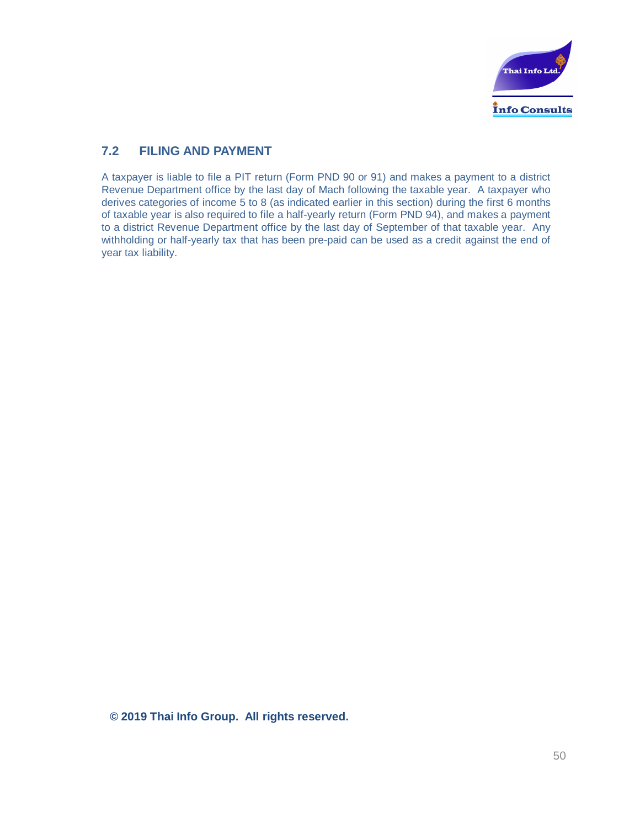

# **7.2 FILING AND PAYMENT**

A taxpayer is liable to file a PIT return (Form PND 90 or 91) and makes a payment to a district Revenue Department office by the last day of Mach following the taxable year. A taxpayer who derives categories of income 5 to 8 (as indicated earlier in this section) during the first 6 months of taxable year is also required to file a half-yearly return (Form PND 94), and makes a payment to a district Revenue Department office by the last day of September of that taxable year. Any withholding or half-yearly tax that has been pre-paid can be used as a credit against the end of year tax liability.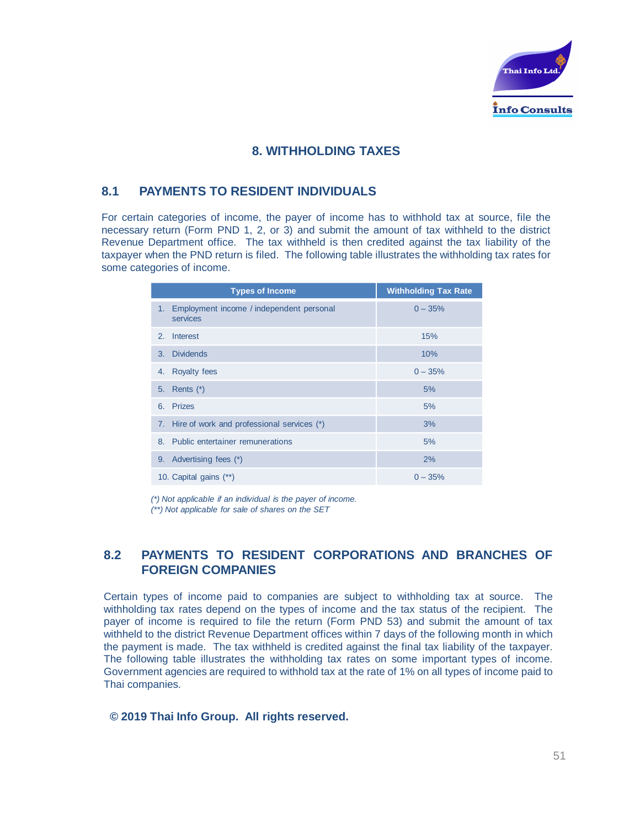

# **8. WITHHOLDING TAXES**

# **8.1 PAYMENTS TO RESIDENT INDIVIDUALS**

For certain categories of income, the payer of income has to withhold tax at source, file the necessary return (Form PND 1, 2, or 3) and submit the amount of tax withheld to the district Revenue Department office. The tax withheld is then credited against the tax liability of the taxpayer when the PND return is filed. The following table illustrates the withholding tax rates for some categories of income.

| <b>Types of Income</b>                                  | <b>Withholding Tax Rate</b> |
|---------------------------------------------------------|-----------------------------|
| 1. Employment income / independent personal<br>services | $0 - 35%$                   |
| Interest<br>2.                                          | 15%                         |
| 3. Dividends                                            | 10%                         |
| <b>Royalty fees</b><br>4.                               | $0 - 35%$                   |
| 5. Rents (*)                                            | 5%                          |
| 6. Prizes                                               | 5%                          |
| 7. Hire of work and professional services (*)           | 3%                          |
| 8. Public entertainer remunerations                     | 5%                          |
| Advertising fees (*)<br>9.                              | 2%                          |
| 10. Capital gains (**)                                  | $0 - 35%$                   |

*(\*) Not applicable if an individual is the payer of income.*

*(\*\*) Not applicable for sale of shares on the SET*

# **8.2 PAYMENTS TO RESIDENT CORPORATIONS AND BRANCHES OF FOREIGN COMPANIES**

Certain types of income paid to companies are subject to withholding tax at source. The withholding tax rates depend on the types of income and the tax status of the recipient. The payer of income is required to file the return (Form PND 53) and submit the amount of tax withheld to the district Revenue Department offices within 7 days of the following month in which the payment is made. The tax withheld is credited against the final tax liability of the taxpayer. The following table illustrates the withholding tax rates on some important types of income. Government agencies are required to withhold tax at the rate of 1% on all types of income paid to Thai companies.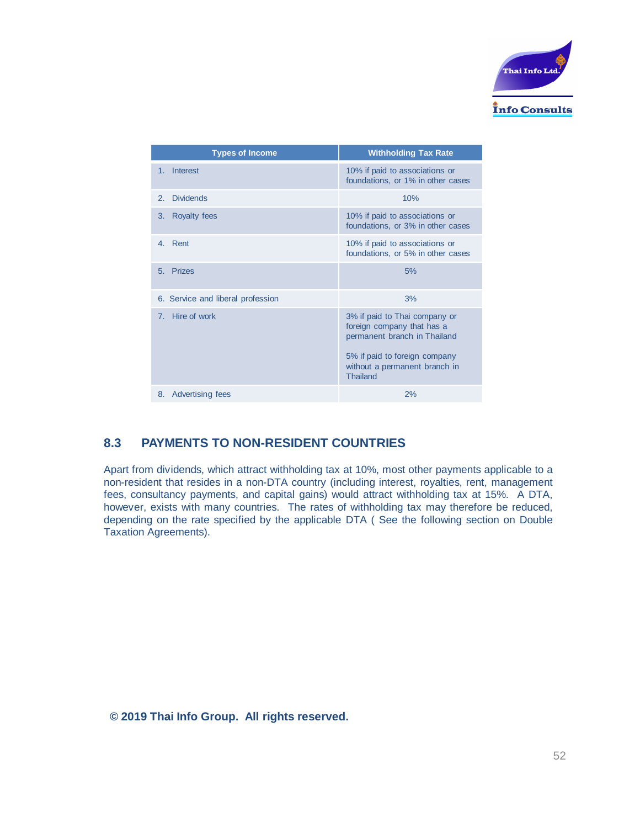

| <b>Types of Income</b>             | <b>Withholding Tax Rate</b>                                                                                                                                                      |
|------------------------------------|----------------------------------------------------------------------------------------------------------------------------------------------------------------------------------|
| Interest<br>1 <sub>1</sub>         | 10% if paid to associations or<br>foundations, or 1% in other cases                                                                                                              |
| <b>Dividends</b><br>2 <sub>1</sub> | 10%                                                                                                                                                                              |
| <b>Royalty fees</b><br>3.          | 10% if paid to associations or<br>foundations, or 3% in other cases                                                                                                              |
| Rent<br>4 <sup>1</sup>             | 10% if paid to associations or<br>foundations, or 5% in other cases                                                                                                              |
| Prizes<br>5.                       | 5%                                                                                                                                                                               |
| 6. Service and liberal profession  | 3%                                                                                                                                                                               |
| 7. Hire of work                    | 3% if paid to Thai company or<br>foreign company that has a<br>permanent branch in Thailand<br>5% if paid to foreign company<br>without a permanent branch in<br><b>Thailand</b> |
| Advertising fees<br>8.             | 2%                                                                                                                                                                               |

# **8.3 PAYMENTS TO NON-RESIDENT COUNTRIES**

Apart from dividends, which attract withholding tax at 10%, most other payments applicable to a non-resident that resides in a non-DTA country (including interest, royalties, rent, management fees, consultancy payments, and capital gains) would attract withholding tax at 15%. A DTA, however, exists with many countries. The rates of withholding tax may therefore be reduced, depending on the rate specified by the applicable DTA ( See the following section on Double Taxation Agreements).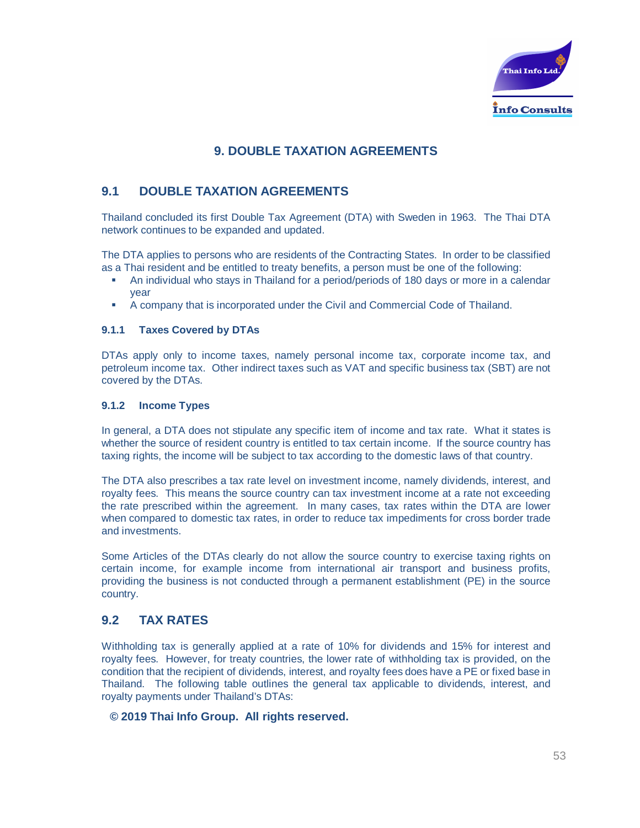

# **9. DOUBLE TAXATION AGREEMENTS**

# **9.1 DOUBLE TAXATION AGREEMENTS**

Thailand concluded its first Double Tax Agreement (DTA) with Sweden in 1963. The Thai DTA network continues to be expanded and updated.

The DTA applies to persons who are residents of the Contracting States. In order to be classified as a Thai resident and be entitled to treaty benefits, a person must be one of the following:

- An individual who stays in Thailand for a period/periods of 180 days or more in a calendar year
- § A company that is incorporated under the Civil and Commercial Code of Thailand.

#### **9.1.1 Taxes Covered by DTAs**

DTAs apply only to income taxes, namely personal income tax, corporate income tax, and petroleum income tax. Other indirect taxes such as VAT and specific business tax (SBT) are not covered by the DTAs.

#### **9.1.2 Income Types**

In general, a DTA does not stipulate any specific item of income and tax rate. What it states is whether the source of resident country is entitled to tax certain income. If the source country has taxing rights, the income will be subject to tax according to the domestic laws of that country.

The DTA also prescribes a tax rate level on investment income, namely dividends, interest, and royalty fees. This means the source country can tax investment income at a rate not exceeding the rate prescribed within the agreement. In many cases, tax rates within the DTA are lower when compared to domestic tax rates, in order to reduce tax impediments for cross border trade and investments.

Some Articles of the DTAs clearly do not allow the source country to exercise taxing rights on certain income, for example income from international air transport and business profits, providing the business is not conducted through a permanent establishment (PE) in the source country.

# **9.2 TAX RATES**

Withholding tax is generally applied at a rate of 10% for dividends and 15% for interest and royalty fees. However, for treaty countries, the lower rate of withholding tax is provided, on the condition that the recipient of dividends, interest, and royalty fees does have a PE or fixed base in Thailand. The following table outlines the general tax applicable to dividends, interest, and royalty payments under Thailand's DTAs: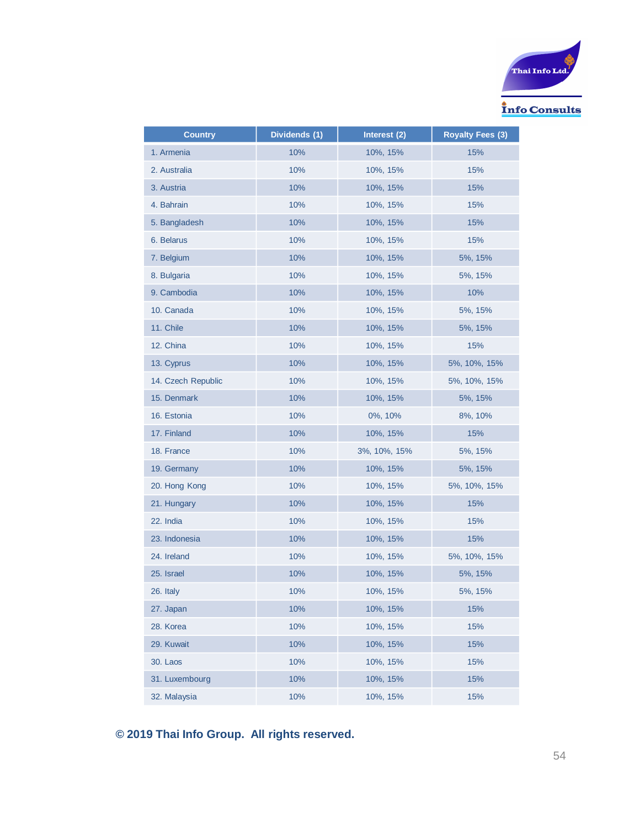

| <b>Country</b>     | Dividends (1) | Interest (2) | <b>Royalty Fees (3)</b> |
|--------------------|---------------|--------------|-------------------------|
| 1. Armenia         | 10%           | 10%, 15%     | 15%                     |
| 2. Australia       | 10%           | 10%, 15%     | 15%                     |
| 3. Austria         | 10%           | 10%, 15%     | 15%                     |
| 4. Bahrain         | 10%           | 10%, 15%     | 15%                     |
| 5. Bangladesh      | 10%           | 10%, 15%     | 15%                     |
| 6. Belarus         | 10%           | 10%, 15%     | 15%                     |
| 7. Belgium         | 10%           | 10%, 15%     | 5%, 15%                 |
| 8. Bulgaria        | 10%           | 10%, 15%     | 5%, 15%                 |
| 9. Cambodia        | 10%           | 10%, 15%     | 10%                     |
| 10. Canada         | 10%           | 10%, 15%     | 5%, 15%                 |
| 11. Chile          | 10%           | 10%, 15%     | 5%, 15%                 |
| 12. China          | 10%           | 10%, 15%     | 15%                     |
| 13. Cyprus         | 10%           | 10%, 15%     | 5%, 10%, 15%            |
| 14. Czech Republic | 10%           | 10%, 15%     | 5%, 10%, 15%            |
| 15. Denmark        | 10%           | 10%, 15%     | 5%, 15%                 |
| 16. Estonia        | 10%           | 0%, 10%      | 8%, 10%                 |
| 17. Finland        | 10%           | 10%, 15%     | 15%                     |
| 18. France         | 10%           | 3%, 10%, 15% | 5%, 15%                 |
| 19. Germany        | 10%           | 10%, 15%     | 5%, 15%                 |
| 20. Hong Kong      | 10%           | 10%, 15%     | 5%, 10%, 15%            |
| 21. Hungary        | 10%           | 10%, 15%     | 15%                     |
| 22. India          | 10%           | 10%, 15%     | 15%                     |
| 23. Indonesia      | 10%           | 10%, 15%     | 15%                     |
| 24. Ireland        | 10%           | 10%, 15%     | 5%, 10%, 15%            |
| 25. Israel         | 10%           | 10%, 15%     | 5%, 15%                 |
| 26. Italy          | 10%           | 10%, 15%     | 5%, 15%                 |
| 27. Japan          | 10%           | 10%, 15%     | 15%                     |
| 28. Korea          | 10%           | 10%, 15%     | 15%                     |
| 29. Kuwait         | 10%           | 10%, 15%     | 15%                     |
| 30. Laos           | 10%           | 10%, 15%     | 15%                     |
| 31. Luxembourg     | 10%           | 10%, 15%     | 15%                     |
| 32. Malaysia       | 10%           | 10%, 15%     | 15%                     |